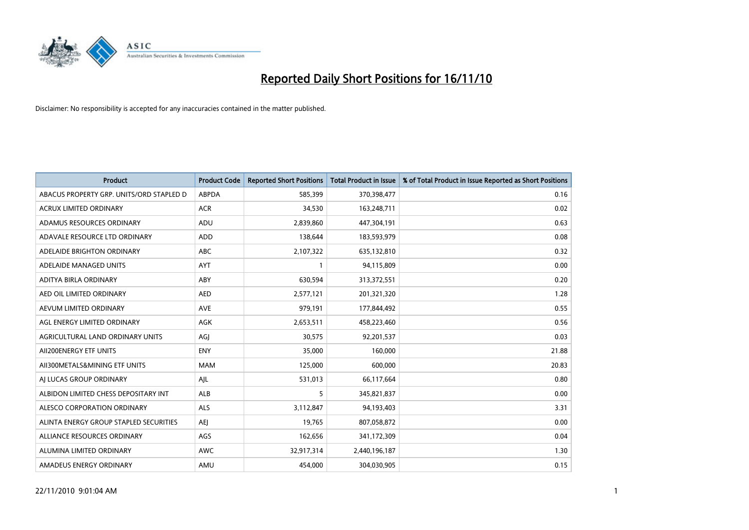

| Product                                  | <b>Product Code</b> | <b>Reported Short Positions</b> | <b>Total Product in Issue</b> | % of Total Product in Issue Reported as Short Positions |
|------------------------------------------|---------------------|---------------------------------|-------------------------------|---------------------------------------------------------|
| ABACUS PROPERTY GRP. UNITS/ORD STAPLED D | <b>ABPDA</b>        | 585,399                         | 370,398,477                   | 0.16                                                    |
| ACRUX LIMITED ORDINARY                   | <b>ACR</b>          | 34,530                          | 163,248,711                   | 0.02                                                    |
| ADAMUS RESOURCES ORDINARY                | ADU                 | 2,839,860                       | 447,304,191                   | 0.63                                                    |
| ADAVALE RESOURCE LTD ORDINARY            | <b>ADD</b>          | 138,644                         | 183,593,979                   | 0.08                                                    |
| ADELAIDE BRIGHTON ORDINARY               | <b>ABC</b>          | 2,107,322                       | 635,132,810                   | 0.32                                                    |
| ADELAIDE MANAGED UNITS                   | <b>AYT</b>          |                                 | 94,115,809                    | 0.00                                                    |
| ADITYA BIRLA ORDINARY                    | ABY                 | 630.594                         | 313,372,551                   | 0.20                                                    |
| AED OIL LIMITED ORDINARY                 | <b>AED</b>          | 2,577,121                       | 201,321,320                   | 1.28                                                    |
| AEVUM LIMITED ORDINARY                   | <b>AVE</b>          | 979,191                         | 177,844,492                   | 0.55                                                    |
| AGL ENERGY LIMITED ORDINARY              | <b>AGK</b>          | 2,653,511                       | 458,223,460                   | 0.56                                                    |
| AGRICULTURAL LAND ORDINARY UNITS         | AGJ                 | 30,575                          | 92,201,537                    | 0.03                                                    |
| AII200ENERGY ETF UNITS                   | <b>ENY</b>          | 35,000                          | 160,000                       | 21.88                                                   |
| AII300METALS&MINING ETF UNITS            | <b>MAM</b>          | 125,000                         | 600,000                       | 20.83                                                   |
| AI LUCAS GROUP ORDINARY                  | AJL                 | 531,013                         | 66,117,664                    | 0.80                                                    |
| ALBIDON LIMITED CHESS DEPOSITARY INT     | ALB                 | 5                               | 345,821,837                   | 0.00                                                    |
| ALESCO CORPORATION ORDINARY              | <b>ALS</b>          | 3,112,847                       | 94,193,403                    | 3.31                                                    |
| ALINTA ENERGY GROUP STAPLED SECURITIES   | <b>AEI</b>          | 19,765                          | 807,058,872                   | 0.00                                                    |
| ALLIANCE RESOURCES ORDINARY              | AGS                 | 162,656                         | 341,172,309                   | 0.04                                                    |
| ALUMINA LIMITED ORDINARY                 | <b>AWC</b>          | 32,917,314                      | 2,440,196,187                 | 1.30                                                    |
| AMADEUS ENERGY ORDINARY                  | AMU                 | 454.000                         | 304,030,905                   | 0.15                                                    |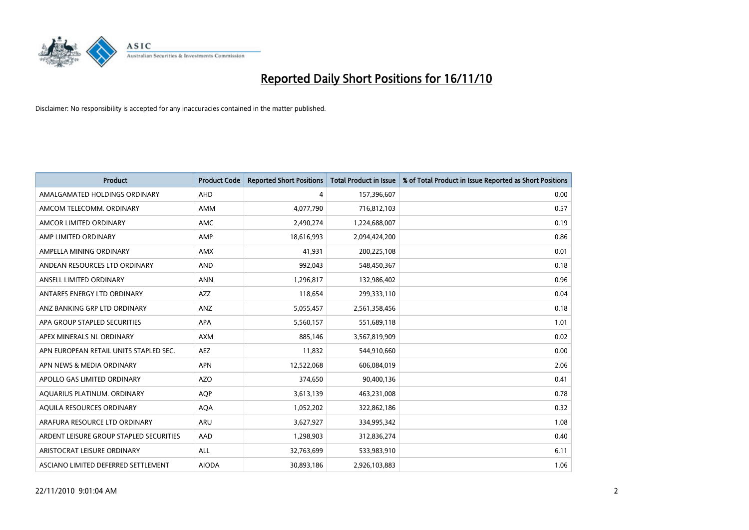

| <b>Product</b>                          | <b>Product Code</b> | <b>Reported Short Positions</b> | <b>Total Product in Issue</b> | % of Total Product in Issue Reported as Short Positions |
|-----------------------------------------|---------------------|---------------------------------|-------------------------------|---------------------------------------------------------|
| AMALGAMATED HOLDINGS ORDINARY           | AHD                 | 4                               | 157,396,607                   | 0.00                                                    |
| AMCOM TELECOMM, ORDINARY                | <b>AMM</b>          | 4,077,790                       | 716,812,103                   | 0.57                                                    |
| AMCOR LIMITED ORDINARY                  | <b>AMC</b>          | 2,490,274                       | 1,224,688,007                 | 0.19                                                    |
| AMP LIMITED ORDINARY                    | AMP                 | 18,616,993                      | 2,094,424,200                 | 0.86                                                    |
| AMPELLA MINING ORDINARY                 | <b>AMX</b>          | 41,931                          | 200,225,108                   | 0.01                                                    |
| ANDEAN RESOURCES LTD ORDINARY           | <b>AND</b>          | 992,043                         | 548,450,367                   | 0.18                                                    |
| ANSELL LIMITED ORDINARY                 | <b>ANN</b>          | 1,296,817                       | 132,986,402                   | 0.96                                                    |
| ANTARES ENERGY LTD ORDINARY             | AZZ                 | 118,654                         | 299,333,110                   | 0.04                                                    |
| ANZ BANKING GRP LTD ORDINARY            | ANZ                 | 5,055,457                       | 2,561,358,456                 | 0.18                                                    |
| APA GROUP STAPLED SECURITIES            | <b>APA</b>          | 5,560,157                       | 551,689,118                   | 1.01                                                    |
| APEX MINERALS NL ORDINARY               | <b>AXM</b>          | 885,146                         | 3,567,819,909                 | 0.02                                                    |
| APN EUROPEAN RETAIL UNITS STAPLED SEC.  | <b>AEZ</b>          | 11,832                          | 544,910,660                   | 0.00                                                    |
| APN NEWS & MEDIA ORDINARY               | <b>APN</b>          | 12,522,068                      | 606,084,019                   | 2.06                                                    |
| APOLLO GAS LIMITED ORDINARY             | <b>AZO</b>          | 374,650                         | 90,400,136                    | 0.41                                                    |
| AQUARIUS PLATINUM. ORDINARY             | <b>AOP</b>          | 3,613,139                       | 463,231,008                   | 0.78                                                    |
| AQUILA RESOURCES ORDINARY               | <b>AQA</b>          | 1,052,202                       | 322,862,186                   | 0.32                                                    |
| ARAFURA RESOURCE LTD ORDINARY           | <b>ARU</b>          | 3,627,927                       | 334,995,342                   | 1.08                                                    |
| ARDENT LEISURE GROUP STAPLED SECURITIES | AAD                 | 1,298,903                       | 312,836,274                   | 0.40                                                    |
| ARISTOCRAT LEISURE ORDINARY             | ALL                 | 32,763,699                      | 533,983,910                   | 6.11                                                    |
| ASCIANO LIMITED DEFERRED SETTLEMENT     | <b>AIODA</b>        | 30.893.186                      | 2,926,103,883                 | 1.06                                                    |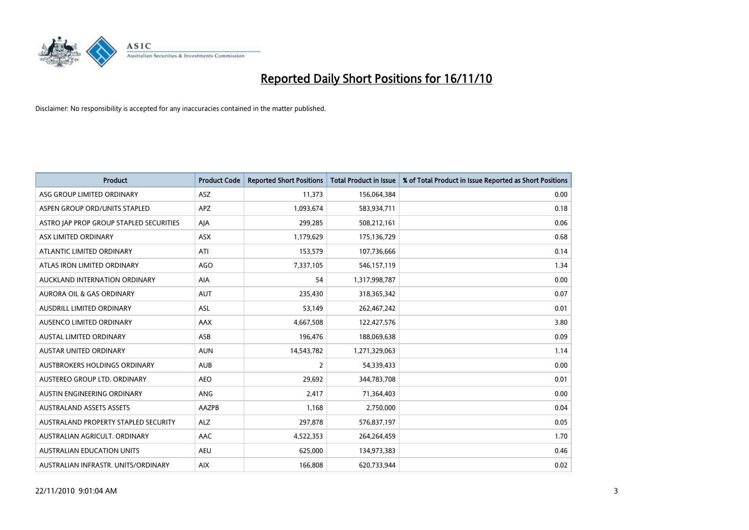

| <b>Product</b>                          | <b>Product Code</b> | <b>Reported Short Positions</b> | <b>Total Product in Issue</b> | % of Total Product in Issue Reported as Short Positions |
|-----------------------------------------|---------------------|---------------------------------|-------------------------------|---------------------------------------------------------|
| ASG GROUP LIMITED ORDINARY              | <b>ASZ</b>          | 11,373                          | 156,064,384                   | 0.00                                                    |
| ASPEN GROUP ORD/UNITS STAPLED           | APZ                 | 1,093,674                       | 583,934,711                   | 0.18                                                    |
| ASTRO JAP PROP GROUP STAPLED SECURITIES | AJA                 | 299,285                         | 508,212,161                   | 0.06                                                    |
| ASX LIMITED ORDINARY                    | ASX                 | 1,179,629                       | 175,136,729                   | 0.68                                                    |
| ATLANTIC LIMITED ORDINARY               | ATI                 | 153,579                         | 107,736,666                   | 0.14                                                    |
| ATLAS IRON LIMITED ORDINARY             | <b>AGO</b>          | 7,337,105                       | 546,157,119                   | 1.34                                                    |
| AUCKLAND INTERNATION ORDINARY           | <b>AIA</b>          | 54                              | 1,317,998,787                 | 0.00                                                    |
| AURORA OIL & GAS ORDINARY               | <b>AUT</b>          | 235,430                         | 318,365,342                   | 0.07                                                    |
| AUSDRILL LIMITED ORDINARY               | ASL                 | 53,149                          | 262,467,242                   | 0.01                                                    |
| <b>AUSENCO LIMITED ORDINARY</b>         | AAX                 | 4,667,508                       | 122,427,576                   | 3.80                                                    |
| AUSTAL LIMITED ORDINARY                 | ASB                 | 196,476                         | 188,069,638                   | 0.09                                                    |
| <b>AUSTAR UNITED ORDINARY</b>           | <b>AUN</b>          | 14,543,782                      | 1,271,329,063                 | 1.14                                                    |
| AUSTBROKERS HOLDINGS ORDINARY           | <b>AUB</b>          | $\overline{2}$                  | 54,339,433                    | 0.00                                                    |
| AUSTEREO GROUP LTD. ORDINARY            | <b>AEO</b>          | 29,692                          | 344,783,708                   | 0.01                                                    |
| AUSTIN ENGINEERING ORDINARY             | ANG                 | 2,417                           | 71,364,403                    | 0.00                                                    |
| <b>AUSTRALAND ASSETS ASSETS</b>         | AAZPB               | 1,168                           | 2,750,000                     | 0.04                                                    |
| AUSTRALAND PROPERTY STAPLED SECURITY    | <b>ALZ</b>          | 297,878                         | 576,837,197                   | 0.05                                                    |
| AUSTRALIAN AGRICULT. ORDINARY           | AAC                 | 4,522,353                       | 264,264,459                   | 1.70                                                    |
| <b>AUSTRALIAN EDUCATION UNITS</b>       | <b>AEU</b>          | 625,000                         | 134,973,383                   | 0.46                                                    |
| AUSTRALIAN INFRASTR, UNITS/ORDINARY     | <b>AIX</b>          | 166,808                         | 620,733,944                   | 0.02                                                    |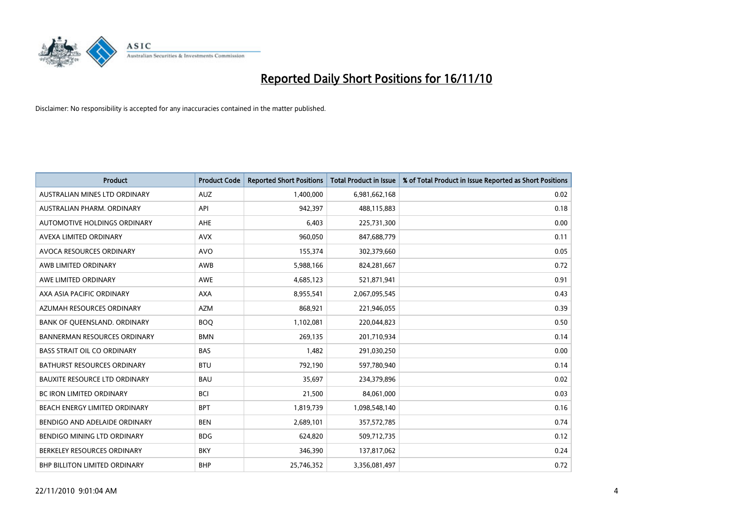

| Product                              | <b>Product Code</b> | <b>Reported Short Positions</b> | Total Product in Issue | % of Total Product in Issue Reported as Short Positions |
|--------------------------------------|---------------------|---------------------------------|------------------------|---------------------------------------------------------|
| AUSTRALIAN MINES LTD ORDINARY        | <b>AUZ</b>          | 1,400,000                       | 6,981,662,168          | 0.02                                                    |
| AUSTRALIAN PHARM, ORDINARY           | API                 | 942,397                         | 488,115,883            | 0.18                                                    |
| AUTOMOTIVE HOLDINGS ORDINARY         | AHE                 | 6,403                           | 225,731,300            | 0.00                                                    |
| AVEXA LIMITED ORDINARY               | <b>AVX</b>          | 960,050                         | 847,688,779            | 0.11                                                    |
| AVOCA RESOURCES ORDINARY             | <b>AVO</b>          | 155,374                         | 302,379,660            | 0.05                                                    |
| AWB LIMITED ORDINARY                 | AWB                 | 5,988,166                       | 824,281,667            | 0.72                                                    |
| AWE LIMITED ORDINARY                 | <b>AWE</b>          | 4,685,123                       | 521,871,941            | 0.91                                                    |
| AXA ASIA PACIFIC ORDINARY            | <b>AXA</b>          | 8,955,541                       | 2,067,095,545          | 0.43                                                    |
| AZUMAH RESOURCES ORDINARY            | <b>AZM</b>          | 868,921                         | 221,946,055            | 0.39                                                    |
| BANK OF OUEENSLAND, ORDINARY         | <b>BOO</b>          | 1,102,081                       | 220,044,823            | 0.50                                                    |
| <b>BANNERMAN RESOURCES ORDINARY</b>  | <b>BMN</b>          | 269,135                         | 201,710,934            | 0.14                                                    |
| <b>BASS STRAIT OIL CO ORDINARY</b>   | <b>BAS</b>          | 1,482                           | 291,030,250            | 0.00                                                    |
| <b>BATHURST RESOURCES ORDINARY</b>   | <b>BTU</b>          | 792,190                         | 597,780,940            | 0.14                                                    |
| <b>BAUXITE RESOURCE LTD ORDINARY</b> | <b>BAU</b>          | 35,697                          | 234,379,896            | 0.02                                                    |
| <b>BC IRON LIMITED ORDINARY</b>      | <b>BCI</b>          | 21,500                          | 84,061,000             | 0.03                                                    |
| BEACH ENERGY LIMITED ORDINARY        | <b>BPT</b>          | 1,819,739                       | 1,098,548,140          | 0.16                                                    |
| BENDIGO AND ADELAIDE ORDINARY        | <b>BEN</b>          | 2,689,101                       | 357,572,785            | 0.74                                                    |
| BENDIGO MINING LTD ORDINARY          | <b>BDG</b>          | 624,820                         | 509,712,735            | 0.12                                                    |
| BERKELEY RESOURCES ORDINARY          | <b>BKY</b>          | 346,390                         | 137,817,062            | 0.24                                                    |
| <b>BHP BILLITON LIMITED ORDINARY</b> | <b>BHP</b>          | 25,746,352                      | 3,356,081,497          | 0.72                                                    |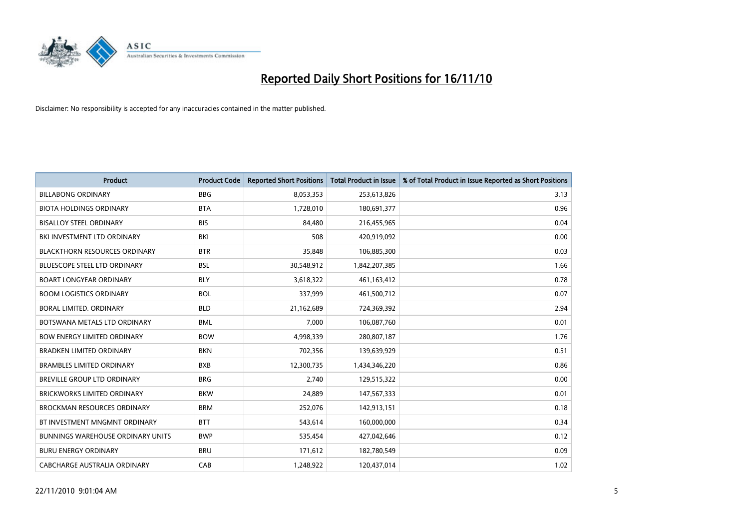

| <b>Product</b>                       | <b>Product Code</b> | <b>Reported Short Positions</b> | Total Product in Issue | % of Total Product in Issue Reported as Short Positions |
|--------------------------------------|---------------------|---------------------------------|------------------------|---------------------------------------------------------|
| <b>BILLABONG ORDINARY</b>            | <b>BBG</b>          | 8,053,353                       | 253,613,826            | 3.13                                                    |
| <b>BIOTA HOLDINGS ORDINARY</b>       | <b>BTA</b>          | 1,728,010                       | 180,691,377            | 0.96                                                    |
| <b>BISALLOY STEEL ORDINARY</b>       | <b>BIS</b>          | 84,480                          | 216,455,965            | 0.04                                                    |
| BKI INVESTMENT LTD ORDINARY          | BKI                 | 508                             | 420,919,092            | 0.00                                                    |
| <b>BLACKTHORN RESOURCES ORDINARY</b> | <b>BTR</b>          | 35,848                          | 106,885,300            | 0.03                                                    |
| <b>BLUESCOPE STEEL LTD ORDINARY</b>  | <b>BSL</b>          | 30,548,912                      | 1,842,207,385          | 1.66                                                    |
| <b>BOART LONGYEAR ORDINARY</b>       | <b>BLY</b>          | 3,618,322                       | 461,163,412            | 0.78                                                    |
| <b>BOOM LOGISTICS ORDINARY</b>       | <b>BOL</b>          | 337,999                         | 461,500,712            | 0.07                                                    |
| BORAL LIMITED, ORDINARY              | <b>BLD</b>          | 21,162,689                      | 724,369,392            | 2.94                                                    |
| BOTSWANA METALS LTD ORDINARY         | <b>BML</b>          | 7,000                           | 106,087,760            | 0.01                                                    |
| <b>BOW ENERGY LIMITED ORDINARY</b>   | <b>BOW</b>          | 4,998,339                       | 280,807,187            | 1.76                                                    |
| <b>BRADKEN LIMITED ORDINARY</b>      | <b>BKN</b>          | 702,356                         | 139,639,929            | 0.51                                                    |
| <b>BRAMBLES LIMITED ORDINARY</b>     | <b>BXB</b>          | 12,300,735                      | 1,434,346,220          | 0.86                                                    |
| <b>BREVILLE GROUP LTD ORDINARY</b>   | <b>BRG</b>          | 2,740                           | 129,515,322            | 0.00                                                    |
| <b>BRICKWORKS LIMITED ORDINARY</b>   | <b>BKW</b>          | 24,889                          | 147,567,333            | 0.01                                                    |
| <b>BROCKMAN RESOURCES ORDINARY</b>   | <b>BRM</b>          | 252,076                         | 142,913,151            | 0.18                                                    |
| BT INVESTMENT MNGMNT ORDINARY        | <b>BTT</b>          | 543,614                         | 160,000,000            | 0.34                                                    |
| BUNNINGS WAREHOUSE ORDINARY UNITS    | <b>BWP</b>          | 535,454                         | 427,042,646            | 0.12                                                    |
| <b>BURU ENERGY ORDINARY</b>          | <b>BRU</b>          | 171,612                         | 182,780,549            | 0.09                                                    |
| CABCHARGE AUSTRALIA ORDINARY         | CAB                 | 1,248,922                       | 120,437,014            | 1.02                                                    |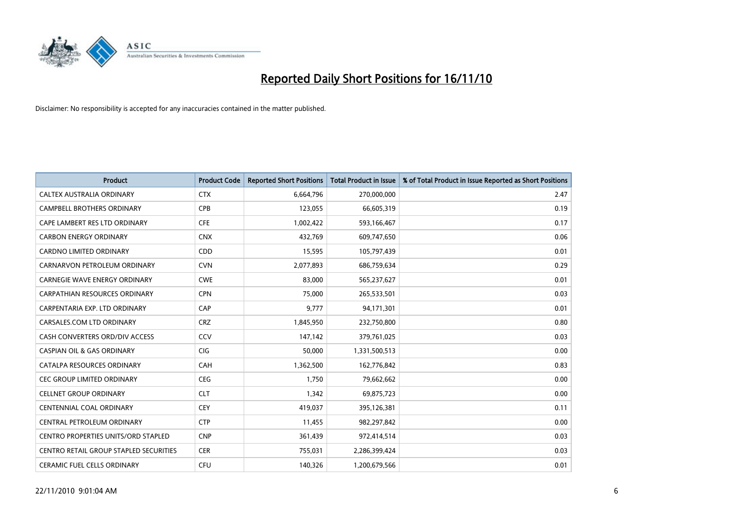

| <b>Product</b>                         | <b>Product Code</b> | <b>Reported Short Positions</b> | <b>Total Product in Issue</b> | % of Total Product in Issue Reported as Short Positions |
|----------------------------------------|---------------------|---------------------------------|-------------------------------|---------------------------------------------------------|
| CALTEX AUSTRALIA ORDINARY              | <b>CTX</b>          | 6,664,796                       | 270,000,000                   | 2.47                                                    |
| <b>CAMPBELL BROTHERS ORDINARY</b>      | <b>CPB</b>          | 123,055                         | 66,605,319                    | 0.19                                                    |
| CAPE LAMBERT RES LTD ORDINARY          | <b>CFE</b>          | 1,002,422                       | 593,166,467                   | 0.17                                                    |
| <b>CARBON ENERGY ORDINARY</b>          | <b>CNX</b>          | 432,769                         | 609,747,650                   | 0.06                                                    |
| <b>CARDNO LIMITED ORDINARY</b>         | CDD                 | 15,595                          | 105,797,439                   | 0.01                                                    |
| CARNARVON PETROLEUM ORDINARY           | <b>CVN</b>          | 2,077,893                       | 686,759,634                   | 0.29                                                    |
| <b>CARNEGIE WAVE ENERGY ORDINARY</b>   | <b>CWE</b>          | 83,000                          | 565,237,627                   | 0.01                                                    |
| CARPATHIAN RESOURCES ORDINARY          | <b>CPN</b>          | 75,000                          | 265,533,501                   | 0.03                                                    |
| CARPENTARIA EXP. LTD ORDINARY          | CAP                 | 9,777                           | 94,171,301                    | 0.01                                                    |
| CARSALES.COM LTD ORDINARY              | <b>CRZ</b>          | 1,845,950                       | 232,750,800                   | 0.80                                                    |
| CASH CONVERTERS ORD/DIV ACCESS         | CCV                 | 147,142                         | 379,761,025                   | 0.03                                                    |
| <b>CASPIAN OIL &amp; GAS ORDINARY</b>  | CIG                 | 50,000                          | 1,331,500,513                 | 0.00                                                    |
| <b>CATALPA RESOURCES ORDINARY</b>      | CAH                 | 1,362,500                       | 162,776,842                   | 0.83                                                    |
| <b>CEC GROUP LIMITED ORDINARY</b>      | <b>CEG</b>          | 1,750                           | 79,662,662                    | 0.00                                                    |
| <b>CELLNET GROUP ORDINARY</b>          | <b>CLT</b>          | 1,342                           | 69,875,723                    | 0.00                                                    |
| CENTENNIAL COAL ORDINARY               | <b>CEY</b>          | 419,037                         | 395,126,381                   | 0.11                                                    |
| CENTRAL PETROLEUM ORDINARY             | <b>CTP</b>          | 11,455                          | 982,297,842                   | 0.00                                                    |
| CENTRO PROPERTIES UNITS/ORD STAPLED    | <b>CNP</b>          | 361,439                         | 972,414,514                   | 0.03                                                    |
| CENTRO RETAIL GROUP STAPLED SECURITIES | <b>CER</b>          | 755,031                         | 2,286,399,424                 | 0.03                                                    |
| <b>CERAMIC FUEL CELLS ORDINARY</b>     | <b>CFU</b>          | 140.326                         | 1,200,679,566                 | 0.01                                                    |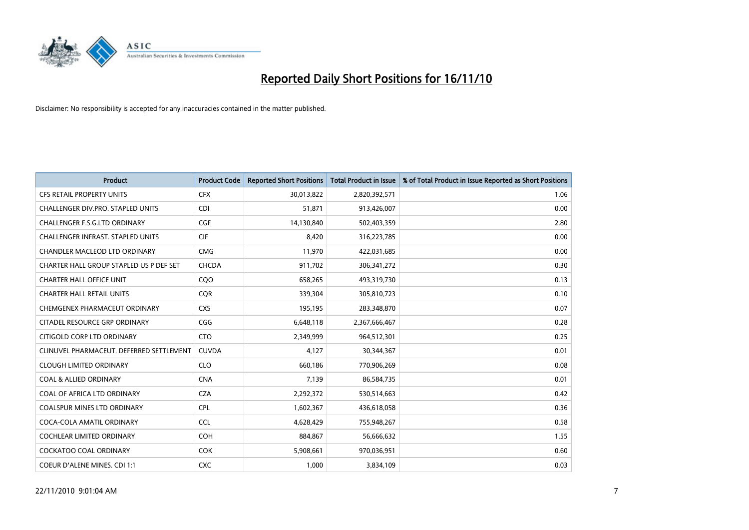

| Product                                  | <b>Product Code</b> | <b>Reported Short Positions</b> | <b>Total Product in Issue</b> | % of Total Product in Issue Reported as Short Positions |
|------------------------------------------|---------------------|---------------------------------|-------------------------------|---------------------------------------------------------|
| <b>CFS RETAIL PROPERTY UNITS</b>         | <b>CFX</b>          | 30,013,822                      | 2,820,392,571                 | 1.06                                                    |
| CHALLENGER DIV.PRO. STAPLED UNITS        | <b>CDI</b>          | 51,871                          | 913,426,007                   | 0.00                                                    |
| <b>CHALLENGER F.S.G.LTD ORDINARY</b>     | <b>CGF</b>          | 14,130,840                      | 502,403,359                   | 2.80                                                    |
| CHALLENGER INFRAST. STAPLED UNITS        | <b>CIF</b>          | 8,420                           | 316,223,785                   | 0.00                                                    |
| <b>CHANDLER MACLEOD LTD ORDINARY</b>     | <b>CMG</b>          | 11,970                          | 422,031,685                   | 0.00                                                    |
| CHARTER HALL GROUP STAPLED US P DEF SET  | <b>CHCDA</b>        | 911,702                         | 306, 341, 272                 | 0.30                                                    |
| <b>CHARTER HALL OFFICE UNIT</b>          | COO                 | 658,265                         | 493,319,730                   | 0.13                                                    |
| <b>CHARTER HALL RETAIL UNITS</b>         | <b>CQR</b>          | 339,304                         | 305,810,723                   | 0.10                                                    |
| CHEMGENEX PHARMACEUT ORDINARY            | <b>CXS</b>          | 195,195                         | 283,348,870                   | 0.07                                                    |
| CITADEL RESOURCE GRP ORDINARY            | CGG                 | 6,648,118                       | 2,367,666,467                 | 0.28                                                    |
| CITIGOLD CORP LTD ORDINARY               | <b>CTO</b>          | 2,349,999                       | 964,512,301                   | 0.25                                                    |
| CLINUVEL PHARMACEUT. DEFERRED SETTLEMENT | <b>CUVDA</b>        | 4,127                           | 30,344,367                    | 0.01                                                    |
| <b>CLOUGH LIMITED ORDINARY</b>           | <b>CLO</b>          | 660,186                         | 770,906,269                   | 0.08                                                    |
| <b>COAL &amp; ALLIED ORDINARY</b>        | <b>CNA</b>          | 7,139                           | 86,584,735                    | 0.01                                                    |
| COAL OF AFRICA LTD ORDINARY              | <b>CZA</b>          | 2,292,372                       | 530,514,663                   | 0.42                                                    |
| <b>COALSPUR MINES LTD ORDINARY</b>       | <b>CPL</b>          | 1,602,367                       | 436,618,058                   | 0.36                                                    |
| COCA-COLA AMATIL ORDINARY                | <b>CCL</b>          | 4,628,429                       | 755,948,267                   | 0.58                                                    |
| COCHLEAR LIMITED ORDINARY                | <b>COH</b>          | 884,867                         | 56,666,632                    | 1.55                                                    |
| <b>COCKATOO COAL ORDINARY</b>            | <b>COK</b>          | 5,908,661                       | 970,036,951                   | 0.60                                                    |
| <b>COEUR D'ALENE MINES. CDI 1:1</b>      | <b>CXC</b>          | 1,000                           | 3,834,109                     | 0.03                                                    |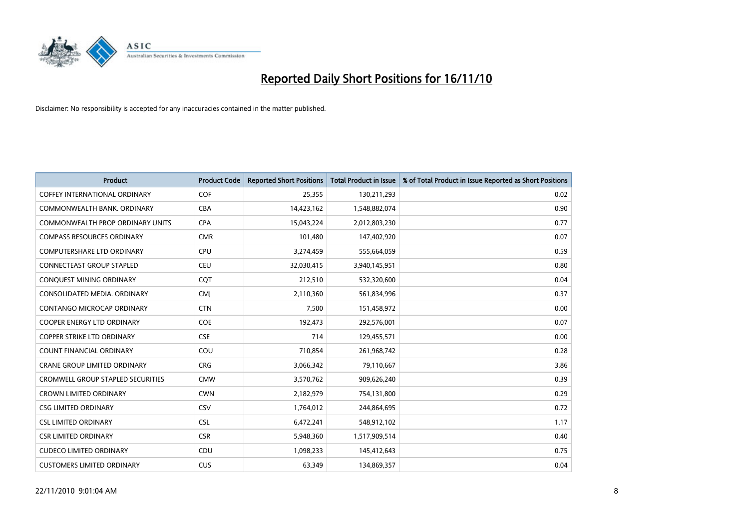

| <b>Product</b>                           | <b>Product Code</b> | <b>Reported Short Positions</b> | Total Product in Issue | % of Total Product in Issue Reported as Short Positions |
|------------------------------------------|---------------------|---------------------------------|------------------------|---------------------------------------------------------|
| <b>COFFEY INTERNATIONAL ORDINARY</b>     | <b>COF</b>          | 25,355                          | 130,211,293            | 0.02                                                    |
| COMMONWEALTH BANK, ORDINARY              | <b>CBA</b>          | 14,423,162                      | 1,548,882,074          | 0.90                                                    |
| <b>COMMONWEALTH PROP ORDINARY UNITS</b>  | <b>CPA</b>          | 15,043,224                      | 2,012,803,230          | 0.77                                                    |
| <b>COMPASS RESOURCES ORDINARY</b>        | <b>CMR</b>          | 101,480                         | 147,402,920            | 0.07                                                    |
| <b>COMPUTERSHARE LTD ORDINARY</b>        | <b>CPU</b>          | 3,274,459                       | 555,664,059            | 0.59                                                    |
| <b>CONNECTEAST GROUP STAPLED</b>         | <b>CEU</b>          | 32,030,415                      | 3,940,145,951          | 0.80                                                    |
| CONQUEST MINING ORDINARY                 | <b>COT</b>          | 212,510                         | 532,320,600            | 0.04                                                    |
| CONSOLIDATED MEDIA, ORDINARY             | <b>CMJ</b>          | 2,110,360                       | 561,834,996            | 0.37                                                    |
| CONTANGO MICROCAP ORDINARY               | <b>CTN</b>          | 7,500                           | 151,458,972            | 0.00                                                    |
| <b>COOPER ENERGY LTD ORDINARY</b>        | <b>COE</b>          | 192,473                         | 292,576,001            | 0.07                                                    |
| <b>COPPER STRIKE LTD ORDINARY</b>        | <b>CSE</b>          | 714                             | 129,455,571            | 0.00                                                    |
| <b>COUNT FINANCIAL ORDINARY</b>          | COU                 | 710,854                         | 261,968,742            | 0.28                                                    |
| <b>CRANE GROUP LIMITED ORDINARY</b>      | <b>CRG</b>          | 3,066,342                       | 79,110,667             | 3.86                                                    |
| <b>CROMWELL GROUP STAPLED SECURITIES</b> | <b>CMW</b>          | 3,570,762                       | 909,626,240            | 0.39                                                    |
| <b>CROWN LIMITED ORDINARY</b>            | <b>CWN</b>          | 2,182,979                       | 754,131,800            | 0.29                                                    |
| <b>CSG LIMITED ORDINARY</b>              | <b>CSV</b>          | 1,764,012                       | 244,864,695            | 0.72                                                    |
| <b>CSL LIMITED ORDINARY</b>              | <b>CSL</b>          | 6,472,241                       | 548,912,102            | 1.17                                                    |
| <b>CSR LIMITED ORDINARY</b>              | <b>CSR</b>          | 5,948,360                       | 1,517,909,514          | 0.40                                                    |
| <b>CUDECO LIMITED ORDINARY</b>           | CDU                 | 1,098,233                       | 145,412,643            | 0.75                                                    |
| <b>CUSTOMERS LIMITED ORDINARY</b>        | <b>CUS</b>          | 63,349                          | 134,869,357            | 0.04                                                    |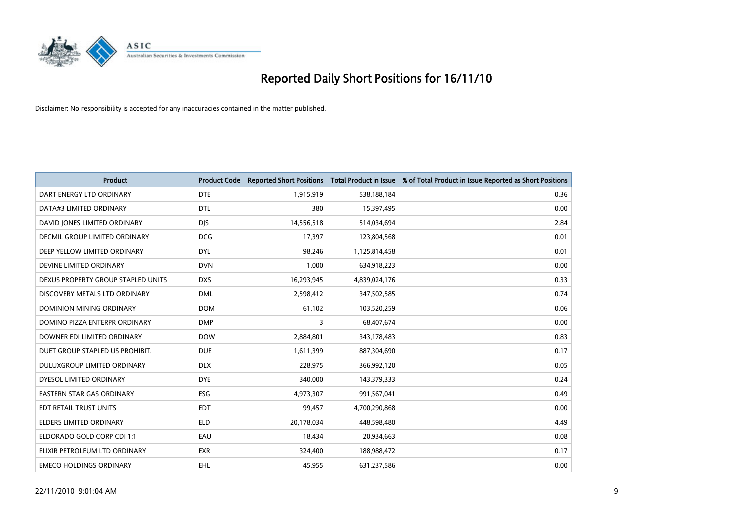

| Product                              | <b>Product Code</b> | <b>Reported Short Positions</b> | Total Product in Issue | % of Total Product in Issue Reported as Short Positions |
|--------------------------------------|---------------------|---------------------------------|------------------------|---------------------------------------------------------|
| DART ENERGY LTD ORDINARY             | <b>DTE</b>          | 1,915,919                       | 538,188,184            | 0.36                                                    |
| DATA#3 LIMITED ORDINARY              | <b>DTL</b>          | 380                             | 15,397,495             | 0.00                                                    |
| DAVID JONES LIMITED ORDINARY         | <b>DJS</b>          | 14,556,518                      | 514,034,694            | 2.84                                                    |
| <b>DECMIL GROUP LIMITED ORDINARY</b> | <b>DCG</b>          | 17,397                          | 123,804,568            | 0.01                                                    |
| DEEP YELLOW LIMITED ORDINARY         | <b>DYL</b>          | 98.246                          | 1,125,814,458          | 0.01                                                    |
| DEVINE LIMITED ORDINARY              | <b>DVN</b>          | 1,000                           | 634,918,223            | 0.00                                                    |
| DEXUS PROPERTY GROUP STAPLED UNITS   | <b>DXS</b>          | 16,293,945                      | 4,839,024,176          | 0.33                                                    |
| DISCOVERY METALS LTD ORDINARY        | <b>DML</b>          | 2,598,412                       | 347,502,585            | 0.74                                                    |
| DOMINION MINING ORDINARY             | <b>DOM</b>          | 61,102                          | 103,520,259            | 0.06                                                    |
| DOMINO PIZZA ENTERPR ORDINARY        | <b>DMP</b>          | 3                               | 68,407,674             | 0.00                                                    |
| DOWNER EDI LIMITED ORDINARY          | <b>DOW</b>          | 2,884,801                       | 343,178,483            | 0.83                                                    |
| DUET GROUP STAPLED US PROHIBIT.      | <b>DUE</b>          | 1,611,399                       | 887,304,690            | 0.17                                                    |
| DULUXGROUP LIMITED ORDINARY          | <b>DLX</b>          | 228,975                         | 366,992,120            | 0.05                                                    |
| DYESOL LIMITED ORDINARY              | <b>DYE</b>          | 340,000                         | 143,379,333            | 0.24                                                    |
| <b>EASTERN STAR GAS ORDINARY</b>     | <b>ESG</b>          | 4,973,307                       | 991,567,041            | 0.49                                                    |
| EDT RETAIL TRUST UNITS               | EDT                 | 99,457                          | 4,700,290,868          | 0.00                                                    |
| <b>ELDERS LIMITED ORDINARY</b>       | <b>ELD</b>          | 20,178,034                      | 448,598,480            | 4.49                                                    |
| ELDORADO GOLD CORP CDI 1:1           | EAU                 | 18,434                          | 20,934,663             | 0.08                                                    |
| ELIXIR PETROLEUM LTD ORDINARY        | <b>EXR</b>          | 324,400                         | 188,988,472            | 0.17                                                    |
| <b>EMECO HOLDINGS ORDINARY</b>       | EHL                 | 45,955                          | 631,237,586            | 0.00                                                    |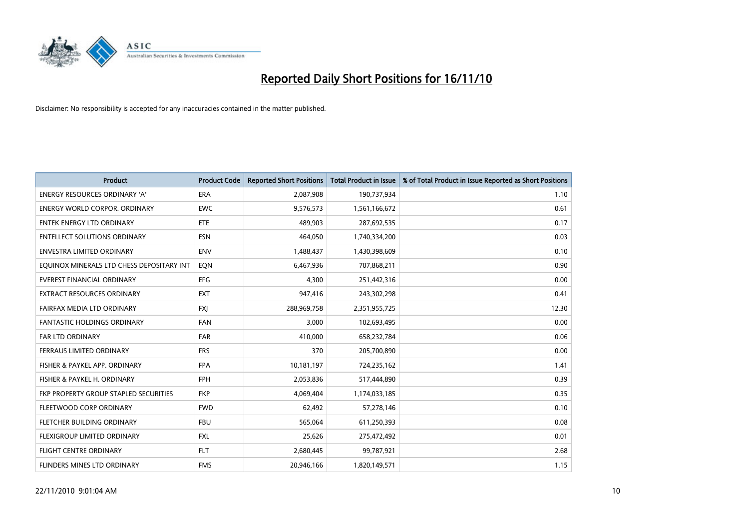

| <b>Product</b>                            | <b>Product Code</b> | <b>Reported Short Positions</b> | <b>Total Product in Issue</b> | % of Total Product in Issue Reported as Short Positions |
|-------------------------------------------|---------------------|---------------------------------|-------------------------------|---------------------------------------------------------|
| <b>ENERGY RESOURCES ORDINARY 'A'</b>      | <b>ERA</b>          | 2,087,908                       | 190,737,934                   | 1.10                                                    |
| ENERGY WORLD CORPOR. ORDINARY             | <b>EWC</b>          | 9,576,573                       | 1,561,166,672                 | 0.61                                                    |
| <b>ENTEK ENERGY LTD ORDINARY</b>          | <b>ETE</b>          | 489.903                         | 287,692,535                   | 0.17                                                    |
| <b>ENTELLECT SOLUTIONS ORDINARY</b>       | <b>ESN</b>          | 464,050                         | 1,740,334,200                 | 0.03                                                    |
| <b>ENVESTRA LIMITED ORDINARY</b>          | <b>ENV</b>          | 1,488,437                       | 1,430,398,609                 | 0.10                                                    |
| EQUINOX MINERALS LTD CHESS DEPOSITARY INT | EQN                 | 6,467,936                       | 707,868,211                   | 0.90                                                    |
| <b>EVEREST FINANCIAL ORDINARY</b>         | <b>EFG</b>          | 4.300                           | 251,442,316                   | 0.00                                                    |
| <b>EXTRACT RESOURCES ORDINARY</b>         | <b>EXT</b>          | 947,416                         | 243,302,298                   | 0.41                                                    |
| FAIRFAX MEDIA LTD ORDINARY                | <b>FXI</b>          | 288,969,758                     | 2,351,955,725                 | 12.30                                                   |
| <b>FANTASTIC HOLDINGS ORDINARY</b>        | <b>FAN</b>          | 3,000                           | 102,693,495                   | 0.00                                                    |
| <b>FAR LTD ORDINARY</b>                   | <b>FAR</b>          | 410,000                         | 658,232,784                   | 0.06                                                    |
| FERRAUS LIMITED ORDINARY                  | <b>FRS</b>          | 370                             | 205,700,890                   | 0.00                                                    |
| FISHER & PAYKEL APP. ORDINARY             | <b>FPA</b>          | 10,181,197                      | 724,235,162                   | 1.41                                                    |
| FISHER & PAYKEL H. ORDINARY               | <b>FPH</b>          | 2,053,836                       | 517,444,890                   | 0.39                                                    |
| FKP PROPERTY GROUP STAPLED SECURITIES     | <b>FKP</b>          | 4,069,404                       | 1,174,033,185                 | 0.35                                                    |
| FLEETWOOD CORP ORDINARY                   | <b>FWD</b>          | 62,492                          | 57,278,146                    | 0.10                                                    |
| FLETCHER BUILDING ORDINARY                | <b>FBU</b>          | 565,064                         | 611,250,393                   | 0.08                                                    |
| FLEXIGROUP LIMITED ORDINARY               | <b>FXL</b>          | 25,626                          | 275,472,492                   | 0.01                                                    |
| <b>FLIGHT CENTRE ORDINARY</b>             | <b>FLT</b>          | 2,680,445                       | 99,787,921                    | 2.68                                                    |
| <b>FLINDERS MINES LTD ORDINARY</b>        | <b>FMS</b>          | 20,946,166                      | 1,820,149,571                 | 1.15                                                    |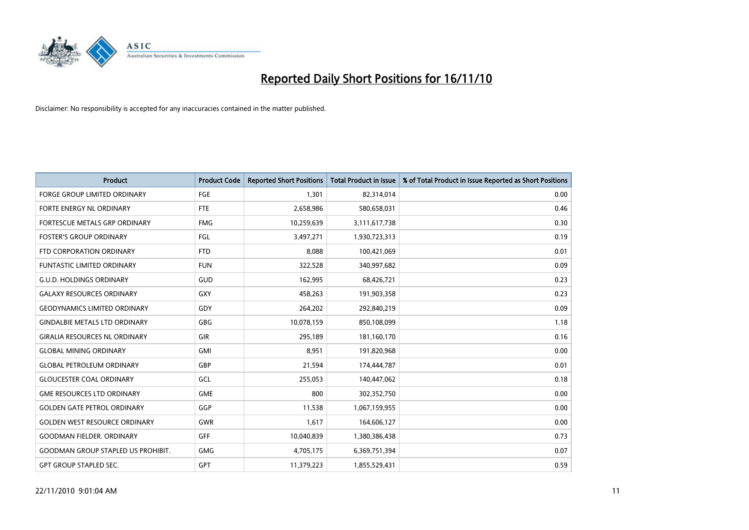

| <b>Product</b>                            | <b>Product Code</b> | <b>Reported Short Positions</b> | Total Product in Issue | % of Total Product in Issue Reported as Short Positions |
|-------------------------------------------|---------------------|---------------------------------|------------------------|---------------------------------------------------------|
| <b>FORGE GROUP LIMITED ORDINARY</b>       | FGE                 | 1,301                           | 82,314,014             | 0.00                                                    |
| FORTE ENERGY NL ORDINARY                  | <b>FTE</b>          | 2,658,986                       | 580,658,031            | 0.46                                                    |
| FORTESCUE METALS GRP ORDINARY             | <b>FMG</b>          | 10,259,639                      | 3,111,617,738          | 0.30                                                    |
| <b>FOSTER'S GROUP ORDINARY</b>            | <b>FGL</b>          | 3,497,271                       | 1,930,723,313          | 0.19                                                    |
| FTD CORPORATION ORDINARY                  | <b>FTD</b>          | 8,088                           | 100,421,069            | 0.01                                                    |
| <b>FUNTASTIC LIMITED ORDINARY</b>         | <b>FUN</b>          | 322,528                         | 340,997,682            | 0.09                                                    |
| <b>G.U.D. HOLDINGS ORDINARY</b>           | GUD                 | 162,995                         | 68,426,721             | 0.23                                                    |
| <b>GALAXY RESOURCES ORDINARY</b>          | GXY                 | 458,263                         | 191,903,358            | 0.23                                                    |
| <b>GEODYNAMICS LIMITED ORDINARY</b>       | GDY                 | 264,202                         | 292,840,219            | 0.09                                                    |
| <b>GINDALBIE METALS LTD ORDINARY</b>      | GBG                 | 10,078,159                      | 850,108,099            | 1.18                                                    |
| <b>GIRALIA RESOURCES NL ORDINARY</b>      | <b>GIR</b>          | 295,189                         | 181,160,170            | 0.16                                                    |
| <b>GLOBAL MINING ORDINARY</b>             | <b>GMI</b>          | 8,951                           | 191,820,968            | 0.00                                                    |
| <b>GLOBAL PETROLEUM ORDINARY</b>          | GBP                 | 21,594                          | 174,444,787            | 0.01                                                    |
| <b>GLOUCESTER COAL ORDINARY</b>           | GCL                 | 255,053                         | 140,447,062            | 0.18                                                    |
| <b>GME RESOURCES LTD ORDINARY</b>         | <b>GME</b>          | 800                             | 302,352,750            | 0.00                                                    |
| <b>GOLDEN GATE PETROL ORDINARY</b>        | GGP                 | 11,538                          | 1,067,159,955          | 0.00                                                    |
| <b>GOLDEN WEST RESOURCE ORDINARY</b>      | <b>GWR</b>          | 1,617                           | 164,606,127            | 0.00                                                    |
| <b>GOODMAN FIELDER, ORDINARY</b>          | <b>GFF</b>          | 10,040,839                      | 1,380,386,438          | 0.73                                                    |
| <b>GOODMAN GROUP STAPLED US PROHIBIT.</b> | <b>GMG</b>          | 4,705,175                       | 6,369,751,394          | 0.07                                                    |
| <b>GPT GROUP STAPLED SEC.</b>             | <b>GPT</b>          | 11,379,223                      | 1,855,529,431          | 0.59                                                    |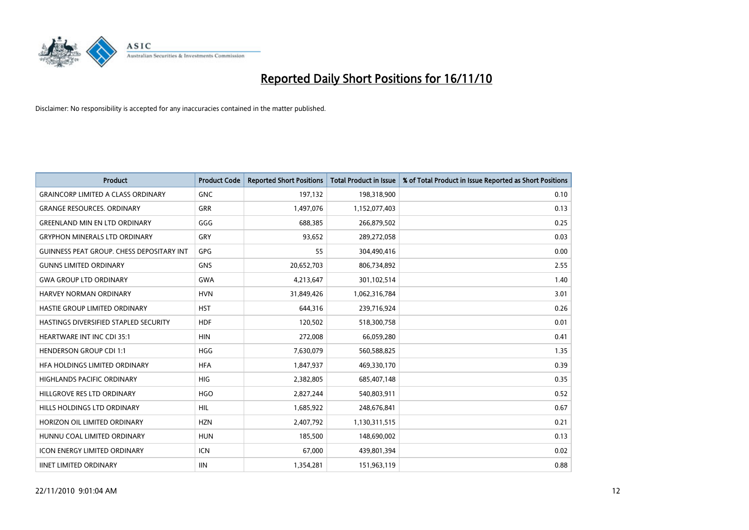

| Product                                          | <b>Product Code</b> | <b>Reported Short Positions</b> | <b>Total Product in Issue</b> | % of Total Product in Issue Reported as Short Positions |
|--------------------------------------------------|---------------------|---------------------------------|-------------------------------|---------------------------------------------------------|
| <b>GRAINCORP LIMITED A CLASS ORDINARY</b>        | <b>GNC</b>          | 197,132                         | 198,318,900                   | 0.10                                                    |
| <b>GRANGE RESOURCES, ORDINARY</b>                | <b>GRR</b>          | 1,497,076                       | 1,152,077,403                 | 0.13                                                    |
| <b>GREENLAND MIN EN LTD ORDINARY</b>             | GGG                 | 688,385                         | 266,879,502                   | 0.25                                                    |
| <b>GRYPHON MINERALS LTD ORDINARY</b>             | <b>GRY</b>          | 93,652                          | 289,272,058                   | 0.03                                                    |
| <b>GUINNESS PEAT GROUP. CHESS DEPOSITARY INT</b> | GPG                 | 55                              | 304,490,416                   | 0.00                                                    |
| <b>GUNNS LIMITED ORDINARY</b>                    | <b>GNS</b>          | 20,652,703                      | 806,734,892                   | 2.55                                                    |
| <b>GWA GROUP LTD ORDINARY</b>                    | <b>GWA</b>          | 4,213,647                       | 301,102,514                   | 1.40                                                    |
| <b>HARVEY NORMAN ORDINARY</b>                    | <b>HVN</b>          | 31,849,426                      | 1,062,316,784                 | 3.01                                                    |
| HASTIE GROUP LIMITED ORDINARY                    | <b>HST</b>          | 644,316                         | 239,716,924                   | 0.26                                                    |
| HASTINGS DIVERSIFIED STAPLED SECURITY            | <b>HDF</b>          | 120,502                         | 518,300,758                   | 0.01                                                    |
| <b>HEARTWARE INT INC CDI 35:1</b>                | <b>HIN</b>          | 272,008                         | 66,059,280                    | 0.41                                                    |
| <b>HENDERSON GROUP CDI 1:1</b>                   | <b>HGG</b>          | 7,630,079                       | 560,588,825                   | 1.35                                                    |
| HFA HOLDINGS LIMITED ORDINARY                    | <b>HFA</b>          | 1,847,937                       | 469,330,170                   | 0.39                                                    |
| <b>HIGHLANDS PACIFIC ORDINARY</b>                | <b>HIG</b>          | 2,382,805                       | 685,407,148                   | 0.35                                                    |
| HILLGROVE RES LTD ORDINARY                       | <b>HGO</b>          | 2,827,244                       | 540,803,911                   | 0.52                                                    |
| HILLS HOLDINGS LTD ORDINARY                      | <b>HIL</b>          | 1,685,922                       | 248,676,841                   | 0.67                                                    |
| HORIZON OIL LIMITED ORDINARY                     | <b>HZN</b>          | 2,407,792                       | 1,130,311,515                 | 0.21                                                    |
| HUNNU COAL LIMITED ORDINARY                      | <b>HUN</b>          | 185,500                         | 148,690,002                   | 0.13                                                    |
| <b>ICON ENERGY LIMITED ORDINARY</b>              | <b>ICN</b>          | 67,000                          | 439,801,394                   | 0.02                                                    |
| <b>IINET LIMITED ORDINARY</b>                    | <b>IIN</b>          | 1,354,281                       | 151,963,119                   | 0.88                                                    |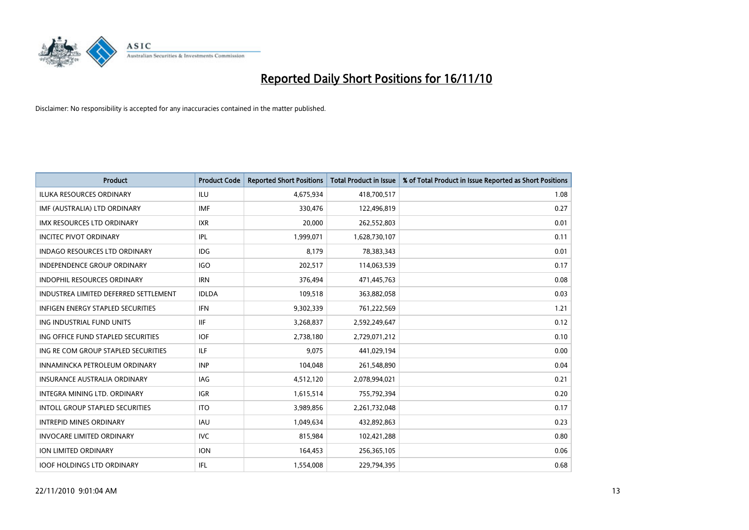

| <b>Product</b>                           | <b>Product Code</b> | <b>Reported Short Positions</b> | <b>Total Product in Issue</b> | % of Total Product in Issue Reported as Short Positions |
|------------------------------------------|---------------------|---------------------------------|-------------------------------|---------------------------------------------------------|
| <b>ILUKA RESOURCES ORDINARY</b>          | ILU                 | 4,675,934                       | 418,700,517                   | 1.08                                                    |
| IMF (AUSTRALIA) LTD ORDINARY             | <b>IMF</b>          | 330.476                         | 122,496,819                   | 0.27                                                    |
| <b>IMX RESOURCES LTD ORDINARY</b>        | <b>IXR</b>          | 20,000                          | 262,552,803                   | 0.01                                                    |
| <b>INCITEC PIVOT ORDINARY</b>            | IPL                 | 1,999,071                       | 1,628,730,107                 | 0.11                                                    |
| <b>INDAGO RESOURCES LTD ORDINARY</b>     | IDG                 | 8,179                           | 78,383,343                    | 0.01                                                    |
| <b>INDEPENDENCE GROUP ORDINARY</b>       | <b>IGO</b>          | 202,517                         | 114,063,539                   | 0.17                                                    |
| INDOPHIL RESOURCES ORDINARY              | <b>IRN</b>          | 376,494                         | 471,445,763                   | 0.08                                                    |
| INDUSTREA LIMITED DEFERRED SETTLEMENT    | <b>IDLDA</b>        | 109,518                         | 363,882,058                   | 0.03                                                    |
| <b>INFIGEN ENERGY STAPLED SECURITIES</b> | <b>IFN</b>          | 9,302,339                       | 761,222,569                   | 1.21                                                    |
| ING INDUSTRIAL FUND UNITS                | <b>IIF</b>          | 3,268,837                       | 2,592,249,647                 | 0.12                                                    |
| ING OFFICE FUND STAPLED SECURITIES       | <b>IOF</b>          | 2,738,180                       | 2,729,071,212                 | 0.10                                                    |
| ING RE COM GROUP STAPLED SECURITIES      | ILF.                | 9,075                           | 441,029,194                   | 0.00                                                    |
| INNAMINCKA PETROLEUM ORDINARY            | <b>INP</b>          | 104,048                         | 261,548,890                   | 0.04                                                    |
| <b>INSURANCE AUSTRALIA ORDINARY</b>      | IAG                 | 4,512,120                       | 2,078,994,021                 | 0.21                                                    |
| INTEGRA MINING LTD, ORDINARY             | <b>IGR</b>          | 1,615,514                       | 755,792,394                   | 0.20                                                    |
| <b>INTOLL GROUP STAPLED SECURITIES</b>   | <b>ITO</b>          | 3,989,856                       | 2,261,732,048                 | 0.17                                                    |
| <b>INTREPID MINES ORDINARY</b>           | <b>IAU</b>          | 1,049,634                       | 432,892,863                   | 0.23                                                    |
| <b>INVOCARE LIMITED ORDINARY</b>         | <b>IVC</b>          | 815,984                         | 102,421,288                   | 0.80                                                    |
| <b>ION LIMITED ORDINARY</b>              | <b>ION</b>          | 164,453                         | 256,365,105                   | 0.06                                                    |
| <b>IOOF HOLDINGS LTD ORDINARY</b>        | IFL.                | 1,554,008                       | 229,794,395                   | 0.68                                                    |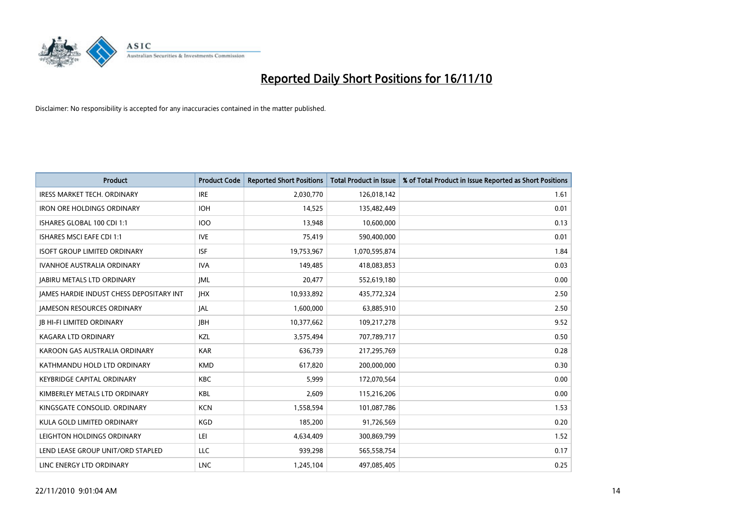

| <b>Product</b>                                  | <b>Product Code</b> | <b>Reported Short Positions</b> | <b>Total Product in Issue</b> | % of Total Product in Issue Reported as Short Positions |
|-------------------------------------------------|---------------------|---------------------------------|-------------------------------|---------------------------------------------------------|
| <b>IRESS MARKET TECH. ORDINARY</b>              | <b>IRE</b>          | 2,030,770                       | 126,018,142                   | 1.61                                                    |
| <b>IRON ORE HOLDINGS ORDINARY</b>               | <b>IOH</b>          | 14,525                          | 135,482,449                   | 0.01                                                    |
| ISHARES GLOBAL 100 CDI 1:1                      | <b>IOO</b>          | 13,948                          | 10,600,000                    | 0.13                                                    |
| ISHARES MSCI EAFE CDI 1:1                       | <b>IVE</b>          | 75,419                          | 590,400,000                   | 0.01                                                    |
| <b>ISOFT GROUP LIMITED ORDINARY</b>             | <b>ISF</b>          | 19,753,967                      | 1,070,595,874                 | 1.84                                                    |
| <b>IVANHOE AUSTRALIA ORDINARY</b>               | <b>IVA</b>          | 149,485                         | 418,083,853                   | 0.03                                                    |
| <b>JABIRU METALS LTD ORDINARY</b>               | <b>JML</b>          | 20,477                          | 552,619,180                   | 0.00                                                    |
| <b>JAMES HARDIE INDUST CHESS DEPOSITARY INT</b> | <b>IHX</b>          | 10,933,892                      | 435,772,324                   | 2.50                                                    |
| <b>JAMESON RESOURCES ORDINARY</b>               | <b>JAL</b>          | 1,600,000                       | 63,885,910                    | 2.50                                                    |
| <b>JB HI-FI LIMITED ORDINARY</b>                | <b>IBH</b>          | 10,377,662                      | 109,217,278                   | 9.52                                                    |
| KAGARA LTD ORDINARY                             | KZL                 | 3,575,494                       | 707,789,717                   | 0.50                                                    |
| KAROON GAS AUSTRALIA ORDINARY                   | <b>KAR</b>          | 636,739                         | 217,295,769                   | 0.28                                                    |
| KATHMANDU HOLD LTD ORDINARY                     | <b>KMD</b>          | 617,820                         | 200,000,000                   | 0.30                                                    |
| <b>KEYBRIDGE CAPITAL ORDINARY</b>               | <b>KBC</b>          | 5,999                           | 172,070,564                   | 0.00                                                    |
| KIMBERLEY METALS LTD ORDINARY                   | <b>KBL</b>          | 2,609                           | 115,216,206                   | 0.00                                                    |
| KINGSGATE CONSOLID. ORDINARY                    | <b>KCN</b>          | 1,558,594                       | 101,087,786                   | 1.53                                                    |
| KULA GOLD LIMITED ORDINARY                      | <b>KGD</b>          | 185,200                         | 91,726,569                    | 0.20                                                    |
| LEIGHTON HOLDINGS ORDINARY                      | LEI                 | 4,634,409                       | 300,869,799                   | 1.52                                                    |
| LEND LEASE GROUP UNIT/ORD STAPLED               | <b>LLC</b>          | 939,298                         | 565,558,754                   | 0.17                                                    |
| LINC ENERGY LTD ORDINARY                        | <b>LNC</b>          | 1,245,104                       | 497.085.405                   | 0.25                                                    |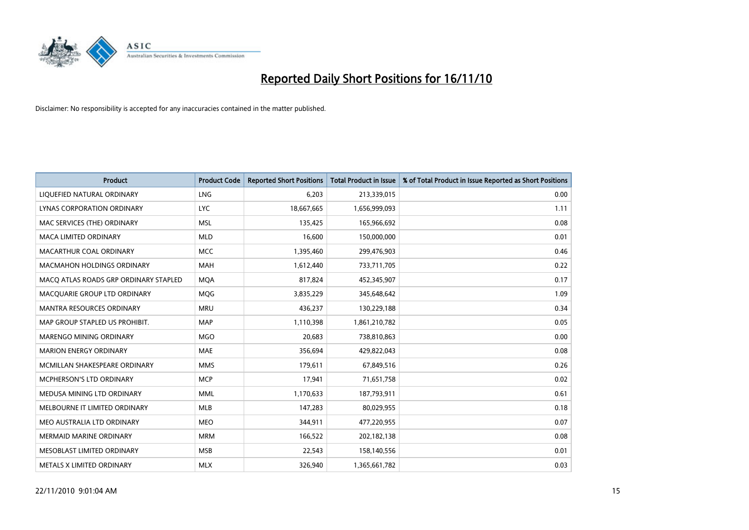

| Product                               | <b>Product Code</b> | <b>Reported Short Positions</b> | <b>Total Product in Issue</b> | % of Total Product in Issue Reported as Short Positions |
|---------------------------------------|---------------------|---------------------------------|-------------------------------|---------------------------------------------------------|
| LIQUEFIED NATURAL ORDINARY            | LNG                 | 6,203                           | 213,339,015                   | 0.00                                                    |
| LYNAS CORPORATION ORDINARY            | <b>LYC</b>          | 18,667,665                      | 1,656,999,093                 | 1.11                                                    |
| MAC SERVICES (THE) ORDINARY           | <b>MSL</b>          | 135,425                         | 165,966,692                   | 0.08                                                    |
| MACA LIMITED ORDINARY                 | <b>MLD</b>          | 16,600                          | 150,000,000                   | 0.01                                                    |
| MACARTHUR COAL ORDINARY               | <b>MCC</b>          | 1,395,460                       | 299,476,903                   | 0.46                                                    |
| <b>MACMAHON HOLDINGS ORDINARY</b>     | <b>MAH</b>          | 1,612,440                       | 733,711,705                   | 0.22                                                    |
| MACQ ATLAS ROADS GRP ORDINARY STAPLED | <b>MOA</b>          | 817.824                         | 452,345,907                   | 0.17                                                    |
| MACQUARIE GROUP LTD ORDINARY          | MQG                 | 3,835,229                       | 345,648,642                   | 1.09                                                    |
| <b>MANTRA RESOURCES ORDINARY</b>      | <b>MRU</b>          | 436,237                         | 130,229,188                   | 0.34                                                    |
| MAP GROUP STAPLED US PROHIBIT.        | <b>MAP</b>          | 1,110,398                       | 1,861,210,782                 | 0.05                                                    |
| MARENGO MINING ORDINARY               | <b>MGO</b>          | 20,683                          | 738,810,863                   | 0.00                                                    |
| <b>MARION ENERGY ORDINARY</b>         | MAE                 | 356,694                         | 429,822,043                   | 0.08                                                    |
| MCMILLAN SHAKESPEARE ORDINARY         | <b>MMS</b>          | 179,611                         | 67,849,516                    | 0.26                                                    |
| <b>MCPHERSON'S LTD ORDINARY</b>       | <b>MCP</b>          | 17,941                          | 71,651,758                    | 0.02                                                    |
| MEDUSA MINING LTD ORDINARY            | <b>MML</b>          | 1,170,633                       | 187,793,911                   | 0.61                                                    |
| MELBOURNE IT LIMITED ORDINARY         | <b>MLB</b>          | 147,283                         | 80,029,955                    | 0.18                                                    |
| MEO AUSTRALIA LTD ORDINARY            | <b>MEO</b>          | 344,911                         | 477,220,955                   | 0.07                                                    |
| MERMAID MARINE ORDINARY               | <b>MRM</b>          | 166,522                         | 202,182,138                   | 0.08                                                    |
| MESOBLAST LIMITED ORDINARY            | <b>MSB</b>          | 22,543                          | 158,140,556                   | 0.01                                                    |
| METALS X LIMITED ORDINARY             | <b>MLX</b>          | 326.940                         | 1,365,661,782                 | 0.03                                                    |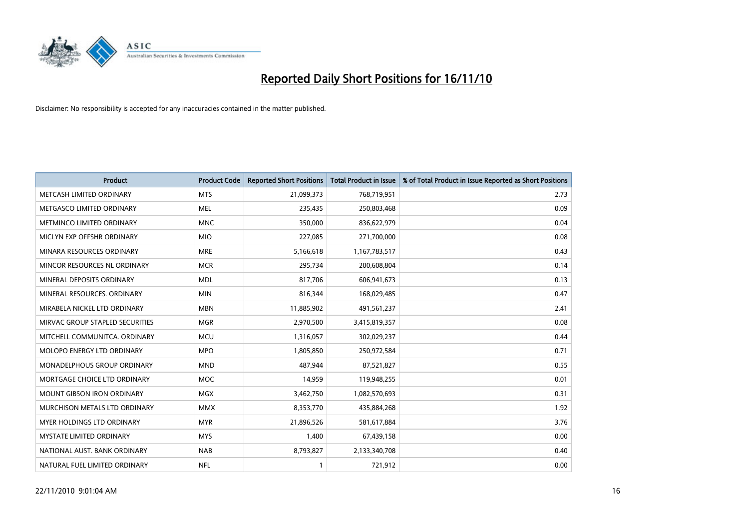

| Product                           | <b>Product Code</b> | <b>Reported Short Positions</b> | Total Product in Issue | % of Total Product in Issue Reported as Short Positions |
|-----------------------------------|---------------------|---------------------------------|------------------------|---------------------------------------------------------|
| METCASH LIMITED ORDINARY          | <b>MTS</b>          | 21,099,373                      | 768,719,951            | 2.73                                                    |
| METGASCO LIMITED ORDINARY         | <b>MEL</b>          | 235,435                         | 250,803,468            | 0.09                                                    |
| METMINCO LIMITED ORDINARY         | <b>MNC</b>          | 350,000                         | 836,622,979            | 0.04                                                    |
| MICLYN EXP OFFSHR ORDINARY        | <b>MIO</b>          | 227,085                         | 271,700,000            | 0.08                                                    |
| MINARA RESOURCES ORDINARY         | <b>MRE</b>          | 5,166,618                       | 1,167,783,517          | 0.43                                                    |
| MINCOR RESOURCES NL ORDINARY      | <b>MCR</b>          | 295,734                         | 200,608,804            | 0.14                                                    |
| MINERAL DEPOSITS ORDINARY         | <b>MDL</b>          | 817,706                         | 606,941,673            | 0.13                                                    |
| MINERAL RESOURCES. ORDINARY       | <b>MIN</b>          | 816,344                         | 168,029,485            | 0.47                                                    |
| MIRABELA NICKEL LTD ORDINARY      | <b>MBN</b>          | 11,885,902                      | 491,561,237            | 2.41                                                    |
| MIRVAC GROUP STAPLED SECURITIES   | <b>MGR</b>          | 2,970,500                       | 3,415,819,357          | 0.08                                                    |
| MITCHELL COMMUNITCA. ORDINARY     | <b>MCU</b>          | 1,316,057                       | 302,029,237            | 0.44                                                    |
| MOLOPO ENERGY LTD ORDINARY        | <b>MPO</b>          | 1,805,850                       | 250,972,584            | 0.71                                                    |
| MONADELPHOUS GROUP ORDINARY       | <b>MND</b>          | 487,944                         | 87,521,827             | 0.55                                                    |
| MORTGAGE CHOICE LTD ORDINARY      | <b>MOC</b>          | 14,959                          | 119,948,255            | 0.01                                                    |
| <b>MOUNT GIBSON IRON ORDINARY</b> | <b>MGX</b>          | 3,462,750                       | 1,082,570,693          | 0.31                                                    |
| MURCHISON METALS LTD ORDINARY     | <b>MMX</b>          | 8,353,770                       | 435,884,268            | 1.92                                                    |
| MYER HOLDINGS LTD ORDINARY        | <b>MYR</b>          | 21,896,526                      | 581,617,884            | 3.76                                                    |
| MYSTATE LIMITED ORDINARY          | <b>MYS</b>          | 1,400                           | 67,439,158             | 0.00                                                    |
| NATIONAL AUST, BANK ORDINARY      | <b>NAB</b>          | 8,793,827                       | 2,133,340,708          | 0.40                                                    |
| NATURAL FUEL LIMITED ORDINARY     | <b>NFL</b>          |                                 | 721,912                | 0.00                                                    |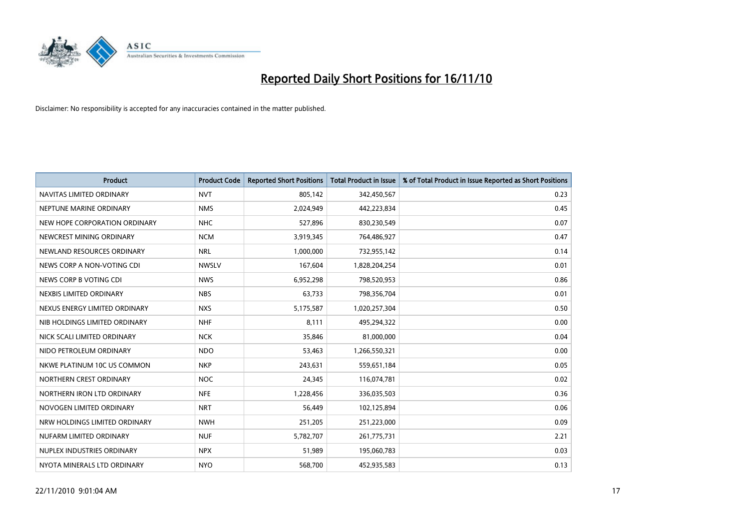

| <b>Product</b>                | <b>Product Code</b> | <b>Reported Short Positions</b> | <b>Total Product in Issue</b> | % of Total Product in Issue Reported as Short Positions |
|-------------------------------|---------------------|---------------------------------|-------------------------------|---------------------------------------------------------|
| NAVITAS LIMITED ORDINARY      | <b>NVT</b>          | 805,142                         | 342,450,567                   | 0.23                                                    |
| NEPTUNE MARINE ORDINARY       | <b>NMS</b>          | 2,024,949                       | 442,223,834                   | 0.45                                                    |
| NEW HOPE CORPORATION ORDINARY | <b>NHC</b>          | 527,896                         | 830,230,549                   | 0.07                                                    |
| NEWCREST MINING ORDINARY      | <b>NCM</b>          | 3,919,345                       | 764,486,927                   | 0.47                                                    |
| NEWLAND RESOURCES ORDINARY    | <b>NRL</b>          | 1,000,000                       | 732,955,142                   | 0.14                                                    |
| NEWS CORP A NON-VOTING CDI    | <b>NWSLV</b>        | 167,604                         | 1,828,204,254                 | 0.01                                                    |
| NEWS CORP B VOTING CDI        | <b>NWS</b>          | 6,952,298                       | 798,520,953                   | 0.86                                                    |
| NEXBIS LIMITED ORDINARY       | <b>NBS</b>          | 63,733                          | 798,356,704                   | 0.01                                                    |
| NEXUS ENERGY LIMITED ORDINARY | <b>NXS</b>          | 5,175,587                       | 1,020,257,304                 | 0.50                                                    |
| NIB HOLDINGS LIMITED ORDINARY | <b>NHF</b>          | 8,111                           | 495,294,322                   | 0.00                                                    |
| NICK SCALI LIMITED ORDINARY   | <b>NCK</b>          | 35,846                          | 81,000,000                    | 0.04                                                    |
| NIDO PETROLEUM ORDINARY       | <b>NDO</b>          | 53,463                          | 1,266,550,321                 | 0.00                                                    |
| NKWE PLATINUM 10C US COMMON   | <b>NKP</b>          | 243,631                         | 559,651,184                   | 0.05                                                    |
| NORTHERN CREST ORDINARY       | <b>NOC</b>          | 24,345                          | 116,074,781                   | 0.02                                                    |
| NORTHERN IRON LTD ORDINARY    | <b>NFE</b>          | 1,228,456                       | 336,035,503                   | 0.36                                                    |
| NOVOGEN LIMITED ORDINARY      | <b>NRT</b>          | 56,449                          | 102,125,894                   | 0.06                                                    |
| NRW HOLDINGS LIMITED ORDINARY | <b>NWH</b>          | 251,205                         | 251,223,000                   | 0.09                                                    |
| NUFARM LIMITED ORDINARY       | <b>NUF</b>          | 5,782,707                       | 261,775,731                   | 2.21                                                    |
| NUPLEX INDUSTRIES ORDINARY    | <b>NPX</b>          | 51,989                          | 195,060,783                   | 0.03                                                    |
| NYOTA MINERALS LTD ORDINARY   | <b>NYO</b>          | 568,700                         | 452,935,583                   | 0.13                                                    |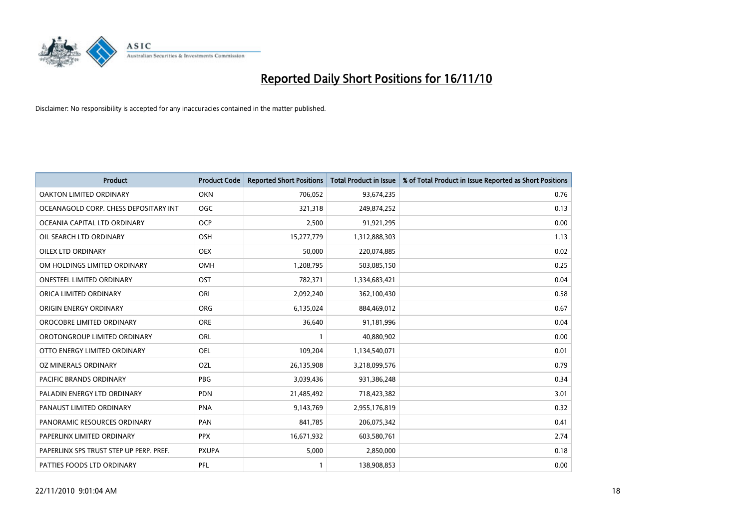

| Product                                 | <b>Product Code</b> | <b>Reported Short Positions</b> | Total Product in Issue | % of Total Product in Issue Reported as Short Positions |
|-----------------------------------------|---------------------|---------------------------------|------------------------|---------------------------------------------------------|
| <b>OAKTON LIMITED ORDINARY</b>          | <b>OKN</b>          | 706,052                         | 93,674,235             | 0.76                                                    |
| OCEANAGOLD CORP. CHESS DEPOSITARY INT   | <b>OGC</b>          | 321,318                         | 249,874,252            | 0.13                                                    |
| OCEANIA CAPITAL LTD ORDINARY            | <b>OCP</b>          | 2,500                           | 91,921,295             | 0.00                                                    |
| OIL SEARCH LTD ORDINARY                 | <b>OSH</b>          | 15,277,779                      | 1,312,888,303          | 1.13                                                    |
| <b>OILEX LTD ORDINARY</b>               | <b>OEX</b>          | 50,000                          | 220,074,885            | 0.02                                                    |
| OM HOLDINGS LIMITED ORDINARY            | OMH                 | 1,208,795                       | 503,085,150            | 0.25                                                    |
| <b>ONESTEEL LIMITED ORDINARY</b>        | OST                 | 782,371                         | 1,334,683,421          | 0.04                                                    |
| ORICA LIMITED ORDINARY                  | ORI                 | 2,092,240                       | 362,100,430            | 0.58                                                    |
| ORIGIN ENERGY ORDINARY                  | <b>ORG</b>          | 6,135,024                       | 884,469,012            | 0.67                                                    |
| OROCOBRE LIMITED ORDINARY               | ORE                 | 36,640                          | 91,181,996             | 0.04                                                    |
| OROTONGROUP LIMITED ORDINARY            | ORL                 |                                 | 40,880,902             | 0.00                                                    |
| OTTO ENERGY LIMITED ORDINARY            | <b>OEL</b>          | 109,204                         | 1,134,540,071          | 0.01                                                    |
| OZ MINERALS ORDINARY                    | OZL                 | 26,135,908                      | 3,218,099,576          | 0.79                                                    |
| <b>PACIFIC BRANDS ORDINARY</b>          | PBG                 | 3,039,436                       | 931,386,248            | 0.34                                                    |
| PALADIN ENERGY LTD ORDINARY             | <b>PDN</b>          | 21,485,492                      | 718,423,382            | 3.01                                                    |
| PANAUST LIMITED ORDINARY                | <b>PNA</b>          | 9,143,769                       | 2,955,176,819          | 0.32                                                    |
| PANORAMIC RESOURCES ORDINARY            | PAN                 | 841,785                         | 206,075,342            | 0.41                                                    |
| PAPERLINX LIMITED ORDINARY              | <b>PPX</b>          | 16,671,932                      | 603,580,761            | 2.74                                                    |
| PAPERLINX SPS TRUST STEP UP PERP. PREF. | <b>PXUPA</b>        | 5,000                           | 2,850,000              | 0.18                                                    |
| PATTIES FOODS LTD ORDINARY              | PFL                 |                                 | 138,908,853            | 0.00                                                    |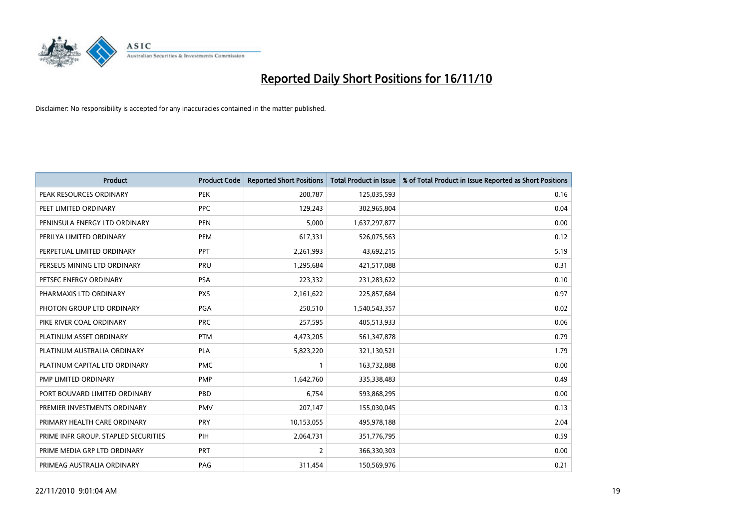

| <b>Product</b>                       | <b>Product Code</b> | <b>Reported Short Positions</b> | <b>Total Product in Issue</b> | % of Total Product in Issue Reported as Short Positions |
|--------------------------------------|---------------------|---------------------------------|-------------------------------|---------------------------------------------------------|
| PEAK RESOURCES ORDINARY              | <b>PEK</b>          | 200,787                         | 125,035,593                   | 0.16                                                    |
| PEET LIMITED ORDINARY                | <b>PPC</b>          | 129,243                         | 302,965,804                   | 0.04                                                    |
| PENINSULA ENERGY LTD ORDINARY        | <b>PEN</b>          | 5,000                           | 1,637,297,877                 | 0.00                                                    |
| PERILYA LIMITED ORDINARY             | PEM                 | 617,331                         | 526,075,563                   | 0.12                                                    |
| PERPETUAL LIMITED ORDINARY           | PPT                 | 2,261,993                       | 43,692,215                    | 5.19                                                    |
| PERSEUS MINING LTD ORDINARY          | PRU                 | 1,295,684                       | 421,517,088                   | 0.31                                                    |
| PETSEC ENERGY ORDINARY               | <b>PSA</b>          | 223,332                         | 231,283,622                   | 0.10                                                    |
| PHARMAXIS LTD ORDINARY               | <b>PXS</b>          | 2,161,622                       | 225,857,684                   | 0.97                                                    |
| PHOTON GROUP LTD ORDINARY            | PGA                 | 250,510                         | 1,540,543,357                 | 0.02                                                    |
| PIKE RIVER COAL ORDINARY             | <b>PRC</b>          | 257,595                         | 405,513,933                   | 0.06                                                    |
| PLATINUM ASSET ORDINARY              | <b>PTM</b>          | 4,473,205                       | 561,347,878                   | 0.79                                                    |
| PLATINUM AUSTRALIA ORDINARY          | <b>PLA</b>          | 5,823,220                       | 321,130,521                   | 1.79                                                    |
| PLATINUM CAPITAL LTD ORDINARY        | <b>PMC</b>          |                                 | 163,732,888                   | 0.00                                                    |
| PMP LIMITED ORDINARY                 | <b>PMP</b>          | 1,642,760                       | 335,338,483                   | 0.49                                                    |
| PORT BOUVARD LIMITED ORDINARY        | PBD                 | 6,754                           | 593,868,295                   | 0.00                                                    |
| PREMIER INVESTMENTS ORDINARY         | <b>PMV</b>          | 207,147                         | 155,030,045                   | 0.13                                                    |
| PRIMARY HEALTH CARE ORDINARY         | <b>PRY</b>          | 10,153,055                      | 495,978,188                   | 2.04                                                    |
| PRIME INFR GROUP. STAPLED SECURITIES | PIH                 | 2,064,731                       | 351,776,795                   | 0.59                                                    |
| PRIME MEDIA GRP LTD ORDINARY         | PRT                 | 2                               | 366,330,303                   | 0.00                                                    |
| PRIMEAG AUSTRALIA ORDINARY           | PAG                 | 311,454                         | 150,569,976                   | 0.21                                                    |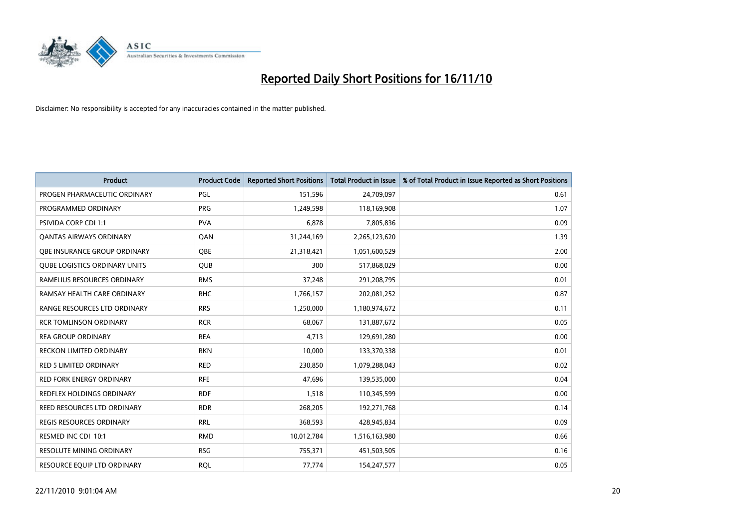

| Product                              | <b>Product Code</b> | <b>Reported Short Positions</b> | <b>Total Product in Issue</b> | % of Total Product in Issue Reported as Short Positions |
|--------------------------------------|---------------------|---------------------------------|-------------------------------|---------------------------------------------------------|
| PROGEN PHARMACEUTIC ORDINARY         | <b>PGL</b>          | 151,596                         | 24,709,097                    | 0.61                                                    |
| PROGRAMMED ORDINARY                  | <b>PRG</b>          | 1,249,598                       | 118,169,908                   | 1.07                                                    |
| <b>PSIVIDA CORP CDI 1:1</b>          | <b>PVA</b>          | 6,878                           | 7,805,836                     | 0.09                                                    |
| <b>QANTAS AIRWAYS ORDINARY</b>       | QAN                 | 31,244,169                      | 2,265,123,620                 | 1.39                                                    |
| OBE INSURANCE GROUP ORDINARY         | <b>OBE</b>          | 21,318,421                      | 1,051,600,529                 | 2.00                                                    |
| <b>QUBE LOGISTICS ORDINARY UNITS</b> | <b>QUB</b>          | 300                             | 517,868,029                   | 0.00                                                    |
| RAMELIUS RESOURCES ORDINARY          | <b>RMS</b>          | 37,248                          | 291,208,795                   | 0.01                                                    |
| RAMSAY HEALTH CARE ORDINARY          | <b>RHC</b>          | 1,766,157                       | 202,081,252                   | 0.87                                                    |
| RANGE RESOURCES LTD ORDINARY         | <b>RRS</b>          | 1,250,000                       | 1,180,974,672                 | 0.11                                                    |
| <b>RCR TOMLINSON ORDINARY</b>        | <b>RCR</b>          | 68,067                          | 131,887,672                   | 0.05                                                    |
| <b>REA GROUP ORDINARY</b>            | <b>REA</b>          | 4,713                           | 129,691,280                   | 0.00                                                    |
| <b>RECKON LIMITED ORDINARY</b>       | <b>RKN</b>          | 10,000                          | 133,370,338                   | 0.01                                                    |
| <b>RED 5 LIMITED ORDINARY</b>        | <b>RED</b>          | 230,850                         | 1,079,288,043                 | 0.02                                                    |
| <b>RED FORK ENERGY ORDINARY</b>      | <b>RFE</b>          | 47,696                          | 139,535,000                   | 0.04                                                    |
| <b>REDFLEX HOLDINGS ORDINARY</b>     | <b>RDF</b>          | 1,518                           | 110,345,599                   | 0.00                                                    |
| REED RESOURCES LTD ORDINARY          | <b>RDR</b>          | 268,205                         | 192,271,768                   | 0.14                                                    |
| <b>REGIS RESOURCES ORDINARY</b>      | <b>RRL</b>          | 368,593                         | 428,945,834                   | 0.09                                                    |
| RESMED INC CDI 10:1                  | <b>RMD</b>          | 10,012,784                      | 1,516,163,980                 | 0.66                                                    |
| <b>RESOLUTE MINING ORDINARY</b>      | <b>RSG</b>          | 755,371                         | 451,503,505                   | 0.16                                                    |
| RESOURCE EQUIP LTD ORDINARY          | <b>RQL</b>          | 77,774                          | 154,247,577                   | 0.05                                                    |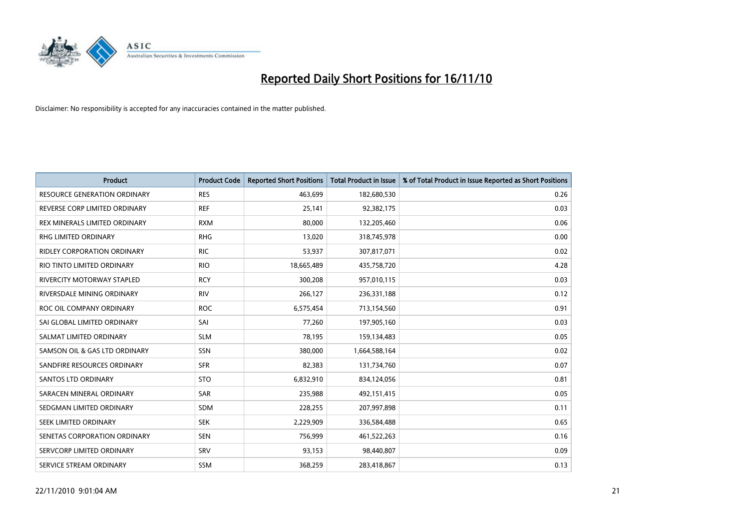

| Product                             | <b>Product Code</b> | <b>Reported Short Positions</b> | Total Product in Issue | % of Total Product in Issue Reported as Short Positions |
|-------------------------------------|---------------------|---------------------------------|------------------------|---------------------------------------------------------|
| <b>RESOURCE GENERATION ORDINARY</b> | <b>RES</b>          | 463,699                         | 182,680,530            | 0.26                                                    |
| REVERSE CORP LIMITED ORDINARY       | <b>REF</b>          | 25,141                          | 92,382,175             | 0.03                                                    |
| REX MINERALS LIMITED ORDINARY       | <b>RXM</b>          | 80,000                          | 132,205,460            | 0.06                                                    |
| RHG LIMITED ORDINARY                | <b>RHG</b>          | 13,020                          | 318,745,978            | 0.00                                                    |
| <b>RIDLEY CORPORATION ORDINARY</b>  | <b>RIC</b>          | 53,937                          | 307,817,071            | 0.02                                                    |
| RIO TINTO LIMITED ORDINARY          | <b>RIO</b>          | 18,665,489                      | 435,758,720            | 4.28                                                    |
| <b>RIVERCITY MOTORWAY STAPLED</b>   | <b>RCY</b>          | 300.208                         | 957,010,115            | 0.03                                                    |
| RIVERSDALE MINING ORDINARY          | <b>RIV</b>          | 266,127                         | 236,331,188            | 0.12                                                    |
| ROC OIL COMPANY ORDINARY            | <b>ROC</b>          | 6,575,454                       | 713,154,560            | 0.91                                                    |
| SAI GLOBAL LIMITED ORDINARY         | SAI                 | 77,260                          | 197,905,160            | 0.03                                                    |
| SALMAT LIMITED ORDINARY             | <b>SLM</b>          | 78,195                          | 159,134,483            | 0.05                                                    |
| SAMSON OIL & GAS LTD ORDINARY       | SSN                 | 380,000                         | 1,664,588,164          | 0.02                                                    |
| SANDFIRE RESOURCES ORDINARY         | <b>SFR</b>          | 82,383                          | 131,734,760            | 0.07                                                    |
| <b>SANTOS LTD ORDINARY</b>          | <b>STO</b>          | 6,832,910                       | 834,124,056            | 0.81                                                    |
| SARACEN MINERAL ORDINARY            | <b>SAR</b>          | 235,988                         | 492,151,415            | 0.05                                                    |
| SEDGMAN LIMITED ORDINARY            | <b>SDM</b>          | 228,255                         | 207,997,898            | 0.11                                                    |
| <b>SEEK LIMITED ORDINARY</b>        | <b>SEK</b>          | 2,229,909                       | 336,584,488            | 0.65                                                    |
| SENETAS CORPORATION ORDINARY        | <b>SEN</b>          | 756,999                         | 461,522,263            | 0.16                                                    |
| SERVCORP LIMITED ORDINARY           | SRV                 | 93,153                          | 98,440,807             | 0.09                                                    |
| SERVICE STREAM ORDINARY             | <b>SSM</b>          | 368,259                         | 283,418,867            | 0.13                                                    |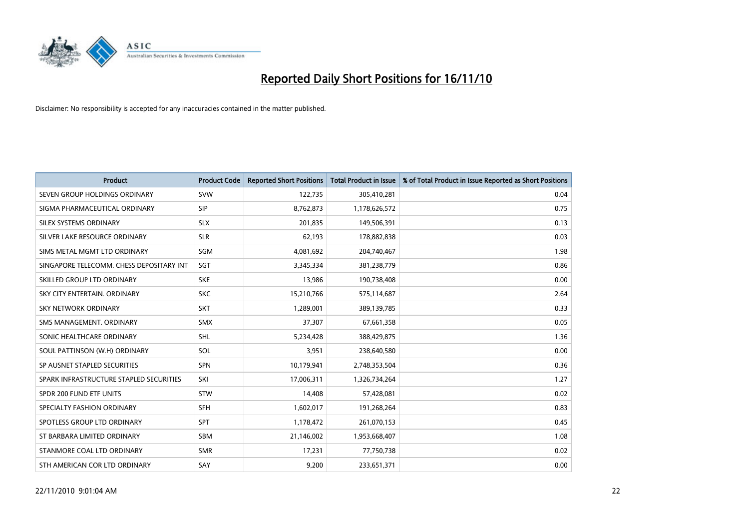

| <b>Product</b>                           | <b>Product Code</b> | <b>Reported Short Positions</b> | <b>Total Product in Issue</b> | % of Total Product in Issue Reported as Short Positions |
|------------------------------------------|---------------------|---------------------------------|-------------------------------|---------------------------------------------------------|
| SEVEN GROUP HOLDINGS ORDINARY            | <b>SVW</b>          | 122,735                         | 305,410,281                   | 0.04                                                    |
| SIGMA PHARMACEUTICAL ORDINARY            | <b>SIP</b>          | 8,762,873                       | 1,178,626,572                 | 0.75                                                    |
| SILEX SYSTEMS ORDINARY                   | <b>SLX</b>          | 201,835                         | 149,506,391                   | 0.13                                                    |
| SILVER LAKE RESOURCE ORDINARY            | <b>SLR</b>          | 62,193                          | 178,882,838                   | 0.03                                                    |
| SIMS METAL MGMT LTD ORDINARY             | SGM                 | 4,081,692                       | 204,740,467                   | 1.98                                                    |
| SINGAPORE TELECOMM. CHESS DEPOSITARY INT | SGT                 | 3,345,334                       | 381,238,779                   | 0.86                                                    |
| SKILLED GROUP LTD ORDINARY               | <b>SKE</b>          | 13,986                          | 190,738,408                   | 0.00                                                    |
| SKY CITY ENTERTAIN, ORDINARY             | <b>SKC</b>          | 15,210,766                      | 575,114,687                   | 2.64                                                    |
| SKY NETWORK ORDINARY                     | <b>SKT</b>          | 1,289,001                       | 389,139,785                   | 0.33                                                    |
| SMS MANAGEMENT, ORDINARY                 | <b>SMX</b>          | 37,307                          | 67,661,358                    | 0.05                                                    |
| SONIC HEALTHCARE ORDINARY                | <b>SHL</b>          | 5,234,428                       | 388,429,875                   | 1.36                                                    |
| SOUL PATTINSON (W.H) ORDINARY            | SOL                 | 3,951                           | 238,640,580                   | 0.00                                                    |
| SP AUSNET STAPLED SECURITIES             | <b>SPN</b>          | 10,179,941                      | 2,748,353,504                 | 0.36                                                    |
| SPARK INFRASTRUCTURE STAPLED SECURITIES  | SKI                 | 17,006,311                      | 1,326,734,264                 | 1.27                                                    |
| SPDR 200 FUND ETF UNITS                  | <b>STW</b>          | 14,408                          | 57,428,081                    | 0.02                                                    |
| SPECIALTY FASHION ORDINARY               | <b>SFH</b>          | 1,602,017                       | 191,268,264                   | 0.83                                                    |
| SPOTLESS GROUP LTD ORDINARY              | <b>SPT</b>          | 1,178,472                       | 261,070,153                   | 0.45                                                    |
| ST BARBARA LIMITED ORDINARY              | <b>SBM</b>          | 21,146,002                      | 1,953,668,407                 | 1.08                                                    |
| STANMORE COAL LTD ORDINARY               | <b>SMR</b>          | 17,231                          | 77,750,738                    | 0.02                                                    |
| STH AMERICAN COR LTD ORDINARY            | SAY                 | 9,200                           | 233,651,371                   | 0.00                                                    |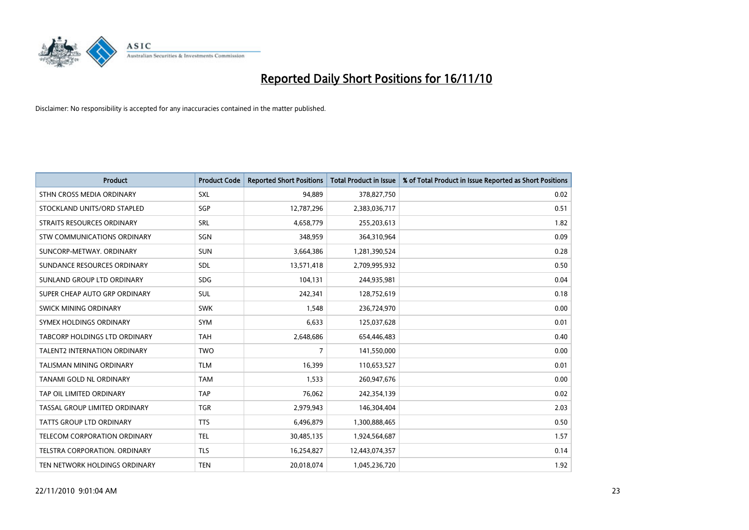

| Product                             | <b>Product Code</b> | <b>Reported Short Positions</b> | Total Product in Issue | % of Total Product in Issue Reported as Short Positions |
|-------------------------------------|---------------------|---------------------------------|------------------------|---------------------------------------------------------|
| STHN CROSS MEDIA ORDINARY           | SXL                 | 94,889                          | 378,827,750            | 0.02                                                    |
| STOCKLAND UNITS/ORD STAPLED         | SGP                 | 12,787,296                      | 2,383,036,717          | 0.51                                                    |
| STRAITS RESOURCES ORDINARY          | SRL                 | 4,658,779                       | 255,203,613            | 1.82                                                    |
| STW COMMUNICATIONS ORDINARY         | SGN                 | 348,959                         | 364,310,964            | 0.09                                                    |
| SUNCORP-METWAY, ORDINARY            | <b>SUN</b>          | 3,664,386                       | 1,281,390,524          | 0.28                                                    |
| SUNDANCE RESOURCES ORDINARY         | SDL                 | 13,571,418                      | 2,709,995,932          | 0.50                                                    |
| SUNLAND GROUP LTD ORDINARY          | <b>SDG</b>          | 104,131                         | 244,935,981            | 0.04                                                    |
| SUPER CHEAP AUTO GRP ORDINARY       | <b>SUL</b>          | 242,341                         | 128,752,619            | 0.18                                                    |
| SWICK MINING ORDINARY               | <b>SWK</b>          | 1,548                           | 236,724,970            | 0.00                                                    |
| SYMEX HOLDINGS ORDINARY             | <b>SYM</b>          | 6,633                           | 125,037,628            | 0.01                                                    |
| TABCORP HOLDINGS LTD ORDINARY       | <b>TAH</b>          | 2,648,686                       | 654,446,483            | 0.40                                                    |
| <b>TALENT2 INTERNATION ORDINARY</b> | <b>TWO</b>          | 7                               | 141,550,000            | 0.00                                                    |
| <b>TALISMAN MINING ORDINARY</b>     | <b>TLM</b>          | 16,399                          | 110,653,527            | 0.01                                                    |
| <b>TANAMI GOLD NL ORDINARY</b>      | <b>TAM</b>          | 1,533                           | 260,947,676            | 0.00                                                    |
| TAP OIL LIMITED ORDINARY            | <b>TAP</b>          | 76,062                          | 242,354,139            | 0.02                                                    |
| TASSAL GROUP LIMITED ORDINARY       | <b>TGR</b>          | 2,979,943                       | 146,304,404            | 2.03                                                    |
| <b>TATTS GROUP LTD ORDINARY</b>     | <b>TTS</b>          | 6,496,879                       | 1,300,888,465          | 0.50                                                    |
| TELECOM CORPORATION ORDINARY        | <b>TEL</b>          | 30,485,135                      | 1,924,564,687          | 1.57                                                    |
| TELSTRA CORPORATION, ORDINARY       | <b>TLS</b>          | 16,254,827                      | 12,443,074,357         | 0.14                                                    |
| TEN NETWORK HOLDINGS ORDINARY       | <b>TEN</b>          | 20,018,074                      | 1,045,236,720          | 1.92                                                    |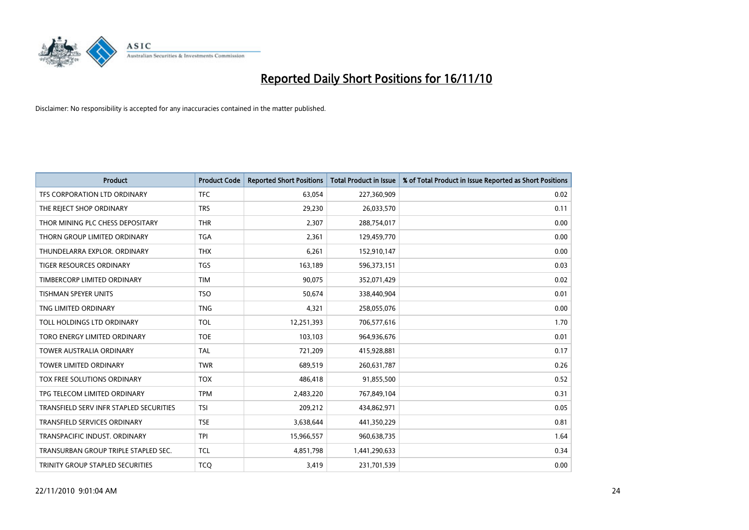

| <b>Product</b>                          | <b>Product Code</b> | <b>Reported Short Positions</b> | Total Product in Issue | % of Total Product in Issue Reported as Short Positions |
|-----------------------------------------|---------------------|---------------------------------|------------------------|---------------------------------------------------------|
| TFS CORPORATION LTD ORDINARY            | <b>TFC</b>          | 63,054                          | 227,360,909            | 0.02                                                    |
| THE REJECT SHOP ORDINARY                | <b>TRS</b>          | 29,230                          | 26,033,570             | 0.11                                                    |
| THOR MINING PLC CHESS DEPOSITARY        | <b>THR</b>          | 2,307                           | 288,754,017            | 0.00                                                    |
| THORN GROUP LIMITED ORDINARY            | <b>TGA</b>          | 2,361                           | 129,459,770            | 0.00                                                    |
| THUNDELARRA EXPLOR, ORDINARY            | <b>THX</b>          | 6,261                           | 152,910,147            | 0.00                                                    |
| TIGER RESOURCES ORDINARY                | <b>TGS</b>          | 163,189                         | 596,373,151            | 0.03                                                    |
| TIMBERCORP LIMITED ORDINARY             | <b>TIM</b>          | 90,075                          | 352,071,429            | 0.02                                                    |
| TISHMAN SPEYER UNITS                    | <b>TSO</b>          | 50,674                          | 338,440,904            | 0.01                                                    |
| TNG LIMITED ORDINARY                    | <b>TNG</b>          | 4,321                           | 258,055,076            | 0.00                                                    |
| TOLL HOLDINGS LTD ORDINARY              | <b>TOL</b>          | 12,251,393                      | 706,577,616            | 1.70                                                    |
| TORO ENERGY LIMITED ORDINARY            | <b>TOE</b>          | 103,103                         | 964,936,676            | 0.01                                                    |
| <b>TOWER AUSTRALIA ORDINARY</b>         | <b>TAL</b>          | 721,209                         | 415,928,881            | 0.17                                                    |
| <b>TOWER LIMITED ORDINARY</b>           | <b>TWR</b>          | 689,519                         | 260,631,787            | 0.26                                                    |
| <b>TOX FREE SOLUTIONS ORDINARY</b>      | <b>TOX</b>          | 486,418                         | 91,855,500             | 0.52                                                    |
| TPG TELECOM LIMITED ORDINARY            | <b>TPM</b>          | 2,483,220                       | 767,849,104            | 0.31                                                    |
| TRANSFIELD SERV INFR STAPLED SECURITIES | <b>TSI</b>          | 209,212                         | 434,862,971            | 0.05                                                    |
| TRANSFIELD SERVICES ORDINARY            | <b>TSE</b>          | 3,638,644                       | 441,350,229            | 0.81                                                    |
| TRANSPACIFIC INDUST, ORDINARY           | <b>TPI</b>          | 15,966,557                      | 960,638,735            | 1.64                                                    |
| TRANSURBAN GROUP TRIPLE STAPLED SEC.    | <b>TCL</b>          | 4,851,798                       | 1,441,290,633          | 0.34                                                    |
| TRINITY GROUP STAPLED SECURITIES        | <b>TCQ</b>          | 3,419                           | 231,701,539            | 0.00                                                    |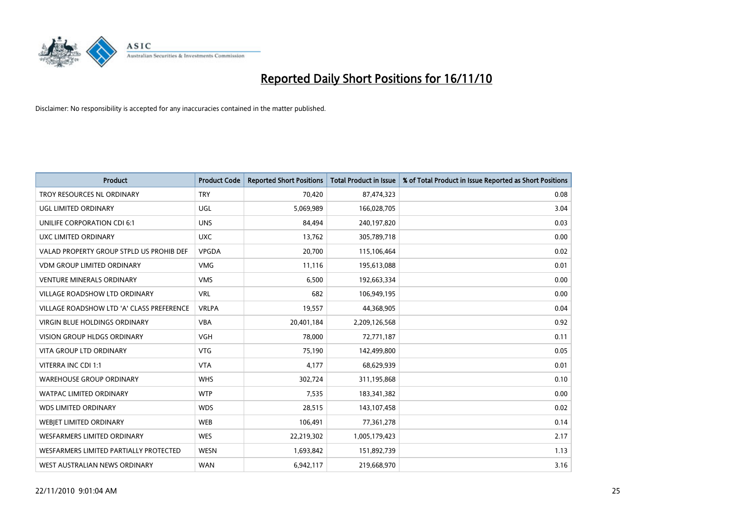

| <b>Product</b>                            | <b>Product Code</b> | <b>Reported Short Positions</b> | Total Product in Issue | % of Total Product in Issue Reported as Short Positions |
|-------------------------------------------|---------------------|---------------------------------|------------------------|---------------------------------------------------------|
| TROY RESOURCES NL ORDINARY                | <b>TRY</b>          | 70,420                          | 87,474,323             | 0.08                                                    |
| UGL LIMITED ORDINARY                      | <b>UGL</b>          | 5,069,989                       | 166,028,705            | 3.04                                                    |
| UNILIFE CORPORATION CDI 6:1               | <b>UNS</b>          | 84,494                          | 240,197,820            | 0.03                                                    |
| <b>UXC LIMITED ORDINARY</b>               | <b>UXC</b>          | 13,762                          | 305,789,718            | 0.00                                                    |
| VALAD PROPERTY GROUP STPLD US PROHIB DEF  | <b>VPGDA</b>        | 20,700                          | 115,106,464            | 0.02                                                    |
| <b>VDM GROUP LIMITED ORDINARY</b>         | <b>VMG</b>          | 11,116                          | 195,613,088            | 0.01                                                    |
| <b>VENTURE MINERALS ORDINARY</b>          | <b>VMS</b>          | 6,500                           | 192,663,334            | 0.00                                                    |
| VILLAGE ROADSHOW LTD ORDINARY             | <b>VRL</b>          | 682                             | 106,949,195            | 0.00                                                    |
| VILLAGE ROADSHOW LTD 'A' CLASS PREFERENCE | <b>VRLPA</b>        | 19,557                          | 44,368,905             | 0.04                                                    |
| <b>VIRGIN BLUE HOLDINGS ORDINARY</b>      | <b>VBA</b>          | 20,401,184                      | 2,209,126,568          | 0.92                                                    |
| VISION GROUP HLDGS ORDINARY               | <b>VGH</b>          | 78,000                          | 72,771,187             | 0.11                                                    |
| <b>VITA GROUP LTD ORDINARY</b>            | <b>VTG</b>          | 75,190                          | 142,499,800            | 0.05                                                    |
| VITERRA INC CDI 1:1                       | <b>VTA</b>          | 4,177                           | 68,629,939             | 0.01                                                    |
| <b>WAREHOUSE GROUP ORDINARY</b>           | <b>WHS</b>          | 302,724                         | 311,195,868            | 0.10                                                    |
| <b>WATPAC LIMITED ORDINARY</b>            | <b>WTP</b>          | 7,535                           | 183,341,382            | 0.00                                                    |
| <b>WDS LIMITED ORDINARY</b>               | <b>WDS</b>          | 28,515                          | 143,107,458            | 0.02                                                    |
| <b>WEBIET LIMITED ORDINARY</b>            | <b>WEB</b>          | 106,491                         | 77,361,278             | 0.14                                                    |
| WESFARMERS LIMITED ORDINARY               | <b>WES</b>          | 22,219,302                      | 1,005,179,423          | 2.17                                                    |
| WESFARMERS LIMITED PARTIALLY PROTECTED    | <b>WESN</b>         | 1,693,842                       | 151,892,739            | 1.13                                                    |
| WEST AUSTRALIAN NEWS ORDINARY             | <b>WAN</b>          | 6,942,117                       | 219,668,970            | 3.16                                                    |